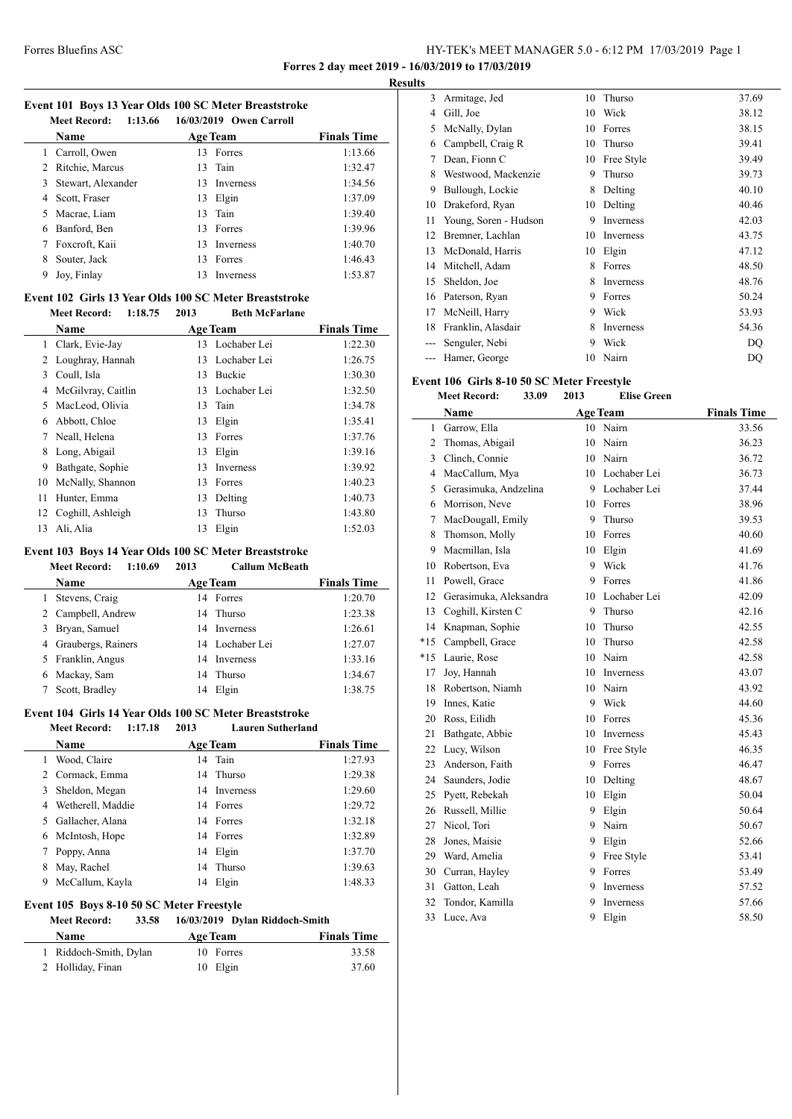### Forres Bluefins ASC HY-TEK's MEET MANAGER 5.0 - 6:12 PM 17/03/2019 Page 1 **Forres 2 day meet 2019 - 16/03/2019 to 17/03/2019**

**Results**

#### **Event 101 Boys 13 Year Olds 100 SC Meter Breaststroke Meet Becord: 1:13.66 16/03/2010 Owen C**

|   | Meet Record:<br>1:15.66 |     | 16/03/2019 Owen Carroll |                    |
|---|-------------------------|-----|-------------------------|--------------------|
|   | <b>Name</b>             |     | <b>Age Team</b>         | <b>Finals Time</b> |
|   | Carroll, Owen           | 13  | Forres                  | 1:13.66            |
|   | 2 Ritchie, Marcus       |     | 13 Tain                 | 1:32.47            |
|   | 3 Stewart, Alexander    | 13. | <b>Inverness</b>        | 1:34.56            |
|   | 4 Scott, Fraser         |     | 13 Elgin                | 1:37.09            |
|   | 5 Macrae, Liam          |     | 13 Tain                 | 1:39.40            |
| 6 | Banford, Ben            | 13. | Forres                  | 1:39.96            |
|   | Foxcroft, Kaii          | 13  | <b>Inverness</b>        | 1:40.70            |
| 8 | Souter, Jack            | 13  | Forres                  | 1:46.43            |
| 9 | Joy, Finlay             | 13  | Inverness               | 1:53.87            |

#### **Event 102 Girls 13 Year Olds 100 SC Meter Breaststroke Meet Record: 1:18.75 2013**

|    | www.neeun<br>1.1V.IV |    | Deta bier ariane |                    |
|----|----------------------|----|------------------|--------------------|
|    | Name                 |    | <b>Age Team</b>  | <b>Finals Time</b> |
| 1  | Clark, Evie-Jay      |    | 13 Lochaber Lei  | 1:22.30            |
| 2  | Loughray, Hannah     | 13 | Lochaber Lei     | 1:26.75            |
| 3  | Coull, Isla          | 13 | <b>Buckie</b>    | 1:30.30            |
| 4  | McGilvray, Caitlin   | 13 | Lochaber Lei     | 1:32.50            |
| 5. | MacLeod, Olivia      | 13 | Tain             | 1:34.78            |
| 6  | Abbott, Chloe        | 13 | Elgin            | 1:35.41            |
| 7  | Neall, Helena        | 13 | Forres           | 1:37.76            |
| 8  | Long, Abigail        | 13 | Elgin            | 1:39.16            |
| 9  | Bathgate, Sophie     | 13 | Inverness        | 1:39.92            |
| 10 | McNally, Shannon     | 13 | Forres           | 1:40.23            |
| 11 | Hunter, Emma         | 13 | Delting          | 1:40.73            |
| 12 | Coghill, Ashleigh    | 13 | Thurso           | 1:43.80            |
| 13 | Ali, Alia            | 13 | Elgin            | 1:52.03            |

### **Event 103 Boys 14 Year Olds 100 SC Meter Breaststroke**

| <b>Meet Record:</b> | 1:10.69 | 2013 | <b>Callum McBeath</b> |
|---------------------|---------|------|-----------------------|
|                     |         |      |                       |

|   | <b>Name</b>          | <b>Age Team</b> | <b>Finals Time</b> |
|---|----------------------|-----------------|--------------------|
|   | Stevens, Craig       | 14 Forres       | 1:20.70            |
|   | 2 Campbell, Andrew   | 14 Thurso       | 1:23.38            |
| 3 | Bryan, Samuel        | 14 Inverness    | 1:26.61            |
|   | 4 Graubergs, Rainers | 14 Lochaber Lei | 1:27.07            |
|   | 5 Franklin, Angus    | 14 Inverness    | 1:33.16            |
| 6 | Mackay, Sam          | 14 Thurso       | 1:34.67            |
|   | Scott, Bradley       | Elgin<br>14     | 1:38.75            |

### **Event 104 Girls 14 Year Olds 100 SC Meter Breaststroke**

| <b>Meet Record:</b><br>1:17.18 | 2013 | <b>Lauren Sutherland</b> |                    |
|--------------------------------|------|--------------------------|--------------------|
| <b>Name</b>                    |      | <b>Age Team</b>          | <b>Finals Time</b> |
| Wood, Claire                   |      | 14 Tain                  | 1:27.93            |
| 2 Cormack, Emma                |      | 14 Thurso                | 1:29.38            |
| Sheldon, Megan<br>3            |      | 14 Inverness             | 1:29.60            |
| Wetherell, Maddie<br>4         |      | 14 Forres                | 1:29.72            |
| Gallacher, Alana<br>5.         |      | 14 Forres                | 1:32.18            |
| McIntosh, Hope<br>6            |      | 14 Forres                | 1:32.89            |
| Poppy, Anna                    |      | 14 Elgin                 | 1:37.70            |
| May, Rachel                    | 14   | Thurso                   | 1:39.63            |
| McCallum, Kayla<br>9           | 14   | Elgin                    | 1:48.33            |

#### **Event 105 Boys 8-10 50 SC Meter Freestyle**

### **Meet Record: 33.58 16/03/2019 Dylan Riddoch-Smith**

| <b>Name</b>            | <b>Age Team</b> | <b>Finals Time</b> |
|------------------------|-----------------|--------------------|
| 1 Riddoch-Smith, Dylan | 10 Forres       | 33.58              |
| 2 Holliday, Finan      | 10 Elgin        | 37.60              |

| 3  | Armitage, Jed         | 10 | Thurso     | 37.69 |
|----|-----------------------|----|------------|-------|
| 4  | Gill, Joe             | 10 | Wick       | 38.12 |
| 5  | McNally, Dylan        | 10 | Forres     | 38.15 |
| 6  | Campbell, Craig R     | 10 | Thurso     | 39.41 |
| 7  | Dean, Fionn C         | 10 | Free Style | 39.49 |
| 8  | Westwood, Mackenzie   | 9  | Thurso     | 39.73 |
| 9  | Bullough, Lockie      | 8  | Delting    | 40.10 |
| 10 | Drakeford, Ryan       | 10 | Delting    | 40.46 |
| 11 | Young, Soren - Hudson | 9  | Inverness  | 42.03 |
| 12 | Bremner, Lachlan      | 10 | Inverness  | 43.75 |
| 13 | McDonald, Harris      | 10 | Elgin      | 47.12 |
| 14 | Mitchell, Adam        | 8  | Forres     | 48.50 |
| 15 | Sheldon, Joe          | 8  | Inverness  | 48.76 |
| 16 | Paterson, Ryan        | 9  | Forres     | 50.24 |
| 17 | McNeill, Harry        | 9  | Wick       | 53.93 |
| 18 | Franklin, Alasdair    | 8  | Inverness  | 54.36 |
|    | Senguler, Nebi        | 9  | Wick       | DQ    |
|    | Hamer, George         | 10 | Nairn      | DQ    |

### **Event 106 Girls 8-10 50 SC Meter Freestyle**

|                | <b>Meet Record:</b><br>33.09 | 2013 | <b>Elise Green</b> |                    |
|----------------|------------------------------|------|--------------------|--------------------|
|                | Name                         |      | <b>Age Team</b>    | <b>Finals Time</b> |
| 1              | Garrow, Ella                 | 10   | Nairn              | 33.56              |
| $\overline{c}$ | Thomas, Abigail              | 10   | Nairn              | 36.23              |
| 3              | Clinch, Connie               | 10   | Nairn              | 36.72              |
| 4              | MacCallum, Mya               | 10   | Lochaber Lei       | 36.73              |
| 5              | Gerasimuka, Andzelina        | 9    | Lochaber Lei       | 37.44              |
| 6              | Morrison, Neve               | 10   | Forres             | 38.96              |
| 7              | MacDougall, Emily            | 9    | Thurso             | 39.53              |
| 8              | Thomson, Molly               | 10   | Forres             | 40.60              |
| 9              | Macmillan, Isla              | 10   | Elgin              | 41.69              |
| 10             | Robertson, Eva               | 9    | Wick               | 41.76              |
| 11             | Powell, Grace                | 9    | Forres             | 41.86              |
| 12             | Gerasimuka, Aleksandra       | 10   | Lochaber Lei       | 42.09              |
| 13             | Coghill, Kirsten C           | 9    | Thurso             | 42.16              |
| 14             | Knapman, Sophie              | 10   | Thurso             | 42.55              |
| $*15$          | Campbell, Grace              | 10   | Thurso             | 42.58              |
| $*15$          | Laurie, Rose                 | 10   | Nairn              | 42.58              |
| 17             | Joy, Hannah                  | 10   | Inverness          | 43.07              |
| 18             | Robertson, Niamh             | 10   | Nairn              | 43.92              |
| 19             | Innes, Katie                 | 9    | Wick               | 44.60              |
| 20             | Ross, Eilidh                 | 10   | Forres             | 45.36              |
| 21             | Bathgate, Abbie              | 10   | Inverness          | 45.43              |
| 22             | Lucy, Wilson                 | 10   | Free Style         | 46.35              |
| 23             | Anderson, Faith              | 9    | Forres             | 46.47              |
| 24             | Saunders, Jodie              | 10   | Delting            | 48.67              |
| 25             | Pyett, Rebekah               | 10   | Elgin              | 50.04              |
| 26             | Russell, Millie              | 9    | Elgin              | 50.64              |
| 27             | Nicol, Tori                  | 9    | Nairn              | 50.67              |
| 28             | Jones, Maisie                | 9    | Elgin              | 52.66              |
| 29             | Ward, Amelia                 | 9    | Free Style         | 53.41              |
| 30             | Curran, Hayley               | 9    | Forres             | 53.49              |
| 31             | Gatton, Leah                 | 9    | Inverness          | 57.52              |
| 32             | Tondor, Kamilla              | 9    | Inverness          | 57.66              |
| 33             | Luce, Ava                    | 9    | Elgin              | 58.50              |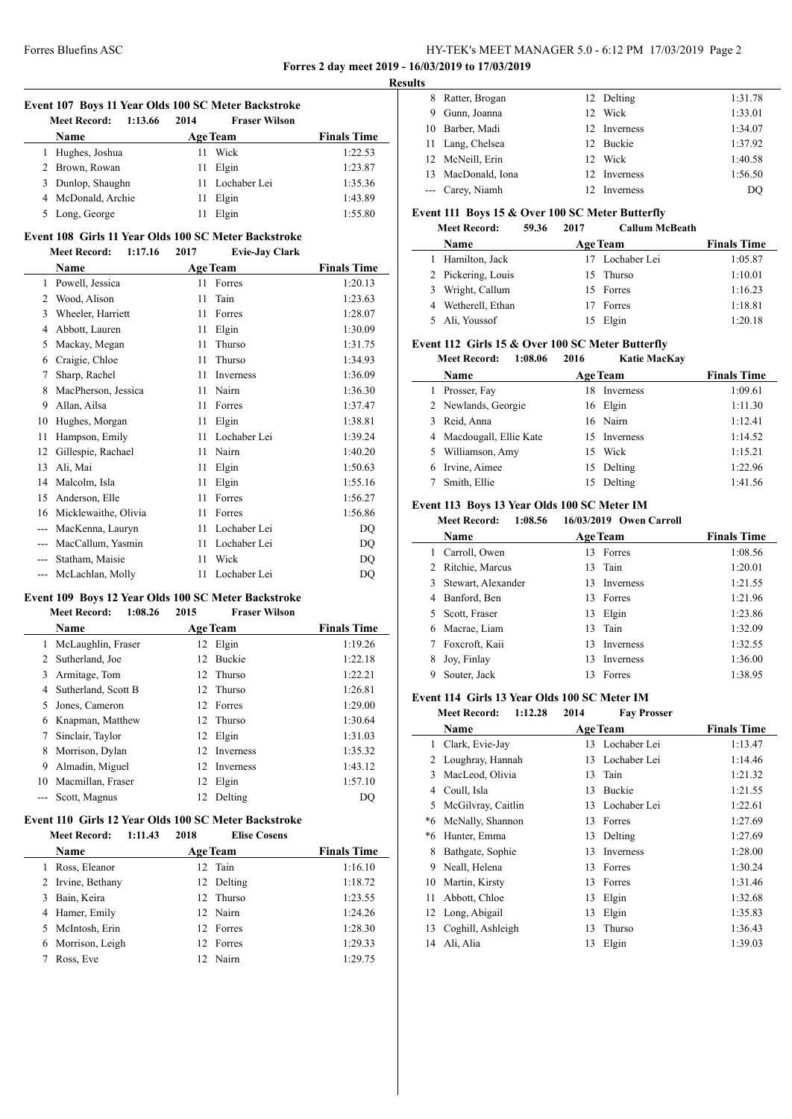### Forres Bluefins ASC HY-TEK's MEET MANAGER 5.0 - 6:12 PM 17/03/2019 Page 2 **Forres 2 day meet 2019 - 16/03/2019 to 17/03/2019**

**Results**

| Event 107 Boys 11 Year Olds 100 SC Meter Backstroke |  |      |                      |                    |  |  |
|-----------------------------------------------------|--|------|----------------------|--------------------|--|--|
| Meet Record: 1:13.66                                |  | 2014 | <b>Fraser Wilson</b> |                    |  |  |
| <b>Name</b>                                         |  |      | <b>Age Team</b>      | <b>Finals Time</b> |  |  |
| 1 Hughes, Joshua                                    |  |      | 11 Wick              | 1:22.53            |  |  |

| 2 Brown, Rowan     | 11 Elgin        | 1:23.87 |
|--------------------|-----------------|---------|
| 3 Dunlop, Shaughn  | 11 Lochaber Lei | 1:35.36 |
| 4 McDonald, Archie | 11 Elgin        | 1:43.89 |
| 5 Long, George     | 11 Elgin        | 1:55.80 |

#### **Event 108 Girls 11 Year Olds 100 SC Meter Backstroke Meet Record: 1:17.16 2017 Evie-Jay Clark**

|               | Name                 |    | <b>Age Team</b>  | <b>Finals Time</b> |
|---------------|----------------------|----|------------------|--------------------|
| 1             | Powell, Jessica      | 11 | Forres           | 1:20.13            |
| $\mathcal{L}$ | Wood, Alison         | 11 | Tain             | 1:23.63            |
| 3             | Wheeler, Harriett    | 11 | Forres           | 1:28.07            |
| 4             | Abbott, Lauren       | 11 | Elgin            | 1:30.09            |
| 5             | Mackay, Megan        | 11 | Thurso           | 1:31.75            |
| 6             | Craigie, Chloe       | 11 | Thurso           | 1:34.93            |
| 7             | Sharp, Rachel        | 11 | <b>Inverness</b> | 1:36.09            |
| 8             | MacPherson, Jessica  | 11 | Nairn            | 1:36.30            |
| 9             | Allan, Ailsa         | 11 | Forres           | 1:37.47            |
| 10            | Hughes, Morgan       | 11 | Elgin            | 1:38.81            |
| 11            | Hampson, Emily       | 11 | Lochaber Lei     | 1:39.24            |
| 12            | Gillespie, Rachael   | 11 | Nairn            | 1:40.20            |
| 13            | Ali, Mai             | 11 | Elgin            | 1:50.63            |
| 14            | Malcolm, Isla        | 11 | Elgin            | 1:55.16            |
| 15            | Anderson, Elle       | 11 | Forres           | 1:56.27            |
| 16            | Micklewaithe, Olivia | 11 | Forres           | 1:56.86            |
| $---$         | MacKenna, Lauryn     | 11 | Lochaber Lei     | DQ                 |
|               | MacCallum, Yasmin    | 11 | Lochaber Lei     | DQ                 |
|               | Statham, Maisie      | 11 | Wick             | DQ                 |
|               | McLachlan, Molly     | 11 | Lochaber Lei     | DQ                 |

### **Event 109 Boys 12 Year Olds 100 SC Meter Backstroke**

|    | 1:08.26<br><b>Meet Record:</b> | 2015 | <b>Fraser Wilson</b> |                    |
|----|--------------------------------|------|----------------------|--------------------|
|    | <b>Name</b>                    |      | <b>Age Team</b>      | <b>Finals Time</b> |
|    | McLaughlin, Fraser             |      | 12 Elgin             | 1:19.26            |
| 2  | Sutherland, Joe                | 12   | Buckie               | 1:22.18            |
| 3  | Armitage, Tom                  |      | 12 Thurso            | 1:22.21            |
| 4  | Sutherland, Scott B            |      | 12 Thurso            | 1:26.81            |
| 5. | Jones, Cameron                 |      | 12 Forres            | 1:29.00            |
|    | Knapman, Matthew               | 12.  | Thurso               | 1:30.64            |
|    | Sinclair, Taylor               | 12   | Elgin                | 1:31.03            |
| 8  | Morrison, Dylan                |      | 12 Inverness         | 1:35.32            |
| 9  | Almadin, Miguel                | 12   | Inverness            | 1:43.12            |
| 10 | Macmillan, Fraser              | 12   | Elgin                | 1:57.10            |
|    | Scott, Magnus                  | 12   | Delting              | DO                 |

### **Event 110 Girls 12 Year Olds 100 SC Meter Backstroke Meet Record: 1:11.43 2018 Elise Cosens**

|   | <b>Name</b>       | <b>Age Team</b> | <b>Finals Time</b> |
|---|-------------------|-----------------|--------------------|
|   | Ross, Eleanor     | 12 Tain         | 1:16.10            |
|   | 2 Irvine, Bethany | 12 Delting      | 1:18.72            |
| 3 | Bain, Keira       | 12 Thurso       | 1:23.55            |
|   | 4 Hamer, Emily    | 12 Nairn        | 1:24.26            |
|   | 5 McIntosh, Erin  | 12 Forres       | 1:28.30            |
|   | 6 Morrison, Leigh | 12 Forres       | 1:29.33            |
|   | Ross, Eve         | 12 Nairn        | 1:29.75            |
|   |                   |                 |                    |

| LS. |                    |              |         |
|-----|--------------------|--------------|---------|
| 8   | Ratter, Brogan     | 12 Delting   | 1:31.78 |
| 9   | Gunn, Joanna       | 12 Wick      | 1:33.01 |
|     | 10 Barber, Madi    | 12 Inverness | 1:34.07 |
|     | 11 Lang, Chelsea   | 12 Buckie    | 1:37.92 |
|     | 12 McNeill, Erin   | 12 Wick      | 1:40.58 |
|     | 13 MacDonald, Iona | 12 Inverness | 1:56.50 |
|     | --- Carey, Niamh   | Inverness    | DO      |

### **Event 111 Boys 15 & Over 100 SC Meter Butterfly**

#### **Meet Record: 59.36 2017 Callum McBeath**

| Name               | <b>Age Team</b> | <b>Finals Time</b> |
|--------------------|-----------------|--------------------|
| 1 Hamilton, Jack   | 17 Lochaber Lei | 1:05.87            |
| 2 Pickering, Louis | 15 Thurso       | 1:10.01            |
| 3 Wright, Callum   | 15 Forres       | 1:16.23            |
| 4 Wetherell, Ethan | 17 Forres       | 1:18.81            |
| 5 Ali, Youssof     | 15 Elgin        | 1:20.18            |

## **Event 112 Girls 15 & Over 100 SC Meter Butterfly**

**Meet Record: 1:08.06 2016 Katie MacKay**

|   | Name                     | <b>Age Team</b> |                  | <b>Finals Time</b> |
|---|--------------------------|-----------------|------------------|--------------------|
| 1 | Prosser, Fay             | 18.             | <b>Inverness</b> | 1:09.61            |
|   | 2 Newlands, Georgie      |                 | 16 Elgin         | 1:11.30            |
|   | 3 Reid, Anna             |                 | 16 Nairn         | 1:12.41            |
|   | 4 Macdougall, Ellie Kate |                 | 15 Inverness     | 1:14.52            |
|   | 5 Williamson, Amy        |                 | 15 Wick          | 1:15.21            |
|   | 6 Irvine, Aimee          |                 | 15 Delting       | 1:22.96            |
|   | Smith, Ellie             | 15              | Delting          | 1:41.56            |

### **Event 113 Boys 13 Year Olds 100 SC Meter IM**

### **Meet Record: 1:08.56 16/03/2019 Owen Carroll**

|    | Name               |     | <b>Age Team</b>  | <b>Finals Time</b> |
|----|--------------------|-----|------------------|--------------------|
|    | Carroll, Owen      |     | 13 Forres        | 1:08.56            |
|    | 2 Ritchie, Marcus  |     | 13 Tain          | 1:20.01            |
| 3. | Stewart, Alexander | 13. | <b>Inverness</b> | 1:21.55            |
|    | 4 Banford, Ben     |     | 13 Forres        | 1:21.96            |
|    | 5 Scott, Fraser    |     | 13 Elgin         | 1:23.86            |
| 6. | Macrae, Liam       |     | 13 Tain          | 1:32.09            |
|    | Foxcroft, Kaii     | 13  | <b>Inverness</b> | 1:32.55            |
| 8  | Joy, Finlay        | 13  | <b>Inverness</b> | 1:36.00            |
| 9  | Souter, Jack       |     | Forres           | 1:38.95            |

### **Event 114 Girls 13 Year Olds 100 SC Meter IM**

|    | <b>Meet Record:</b><br>1:12.28 | 2014 | <b>Fav Prosser</b> |                    |
|----|--------------------------------|------|--------------------|--------------------|
|    | Name                           |      | <b>Age Team</b>    | <b>Finals Time</b> |
| 1  | Clark, Evie-Jay                |      | 13 Lochaber Lei    | 1:13.47            |
| 2  | Loughray, Hannah               | 13   | Lochaber Lei       | 1:14.46            |
| 3  | MacLeod, Olivia                | 13   | Tain               | 1:21.32            |
| 4  | Coull, Isla                    | 13   | Buckie             | 1:21.55            |
| 5  | McGilvray, Caitlin             | 13   | Lochaber Lei       | 1:22.61            |
| *6 | McNally, Shannon               | 13   | Forres             | 1:27.69            |
| *6 | Hunter, Emma                   | 13   | Delting            | 1:27.69            |
| 8  | Bathgate, Sophie               | 13   | <b>Inverness</b>   | 1:28.00            |
| 9  | Neall, Helena                  | 13   | Forres             | 1:30.24            |
| 10 | Martin, Kirsty                 | 13   | Forres             | 1:31.46            |
| 11 | Abbott, Chloe                  | 13   | Elgin              | 1:32.68            |
|    | 12 Long, Abigail               | 13   | Elgin              | 1:35.83            |
| 13 | Coghill, Ashleigh              | 13   | Thurso             | 1:36.43            |
| 14 | Ali, Alia                      | 13   | Elgin              | 1:39.03            |
|    |                                |      |                    |                    |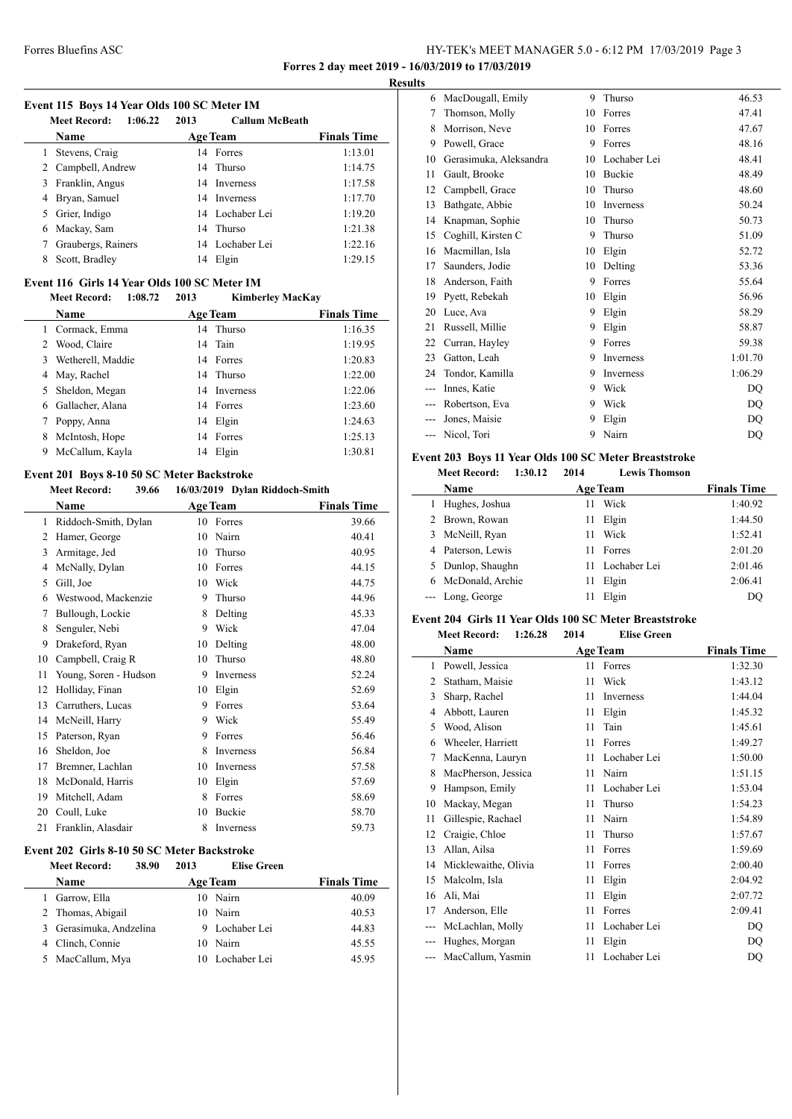**Forres 2 day meet 2019 - 16/03/2019 to 17/03/2019**

### **Event 115 Boys 14 Year Olds 100 SC Meter IM**

|    | 1:06.22<br><b>Meet Record:</b> | 2013 | <b>Callum McBeath</b> |                    |  |  |
|----|--------------------------------|------|-----------------------|--------------------|--|--|
|    | Name                           |      | <b>Age Team</b>       | <b>Finals Time</b> |  |  |
| 1  | Stevens, Craig                 |      | 14 Forres             | 1:13.01            |  |  |
|    | 2 Campbell, Andrew             |      | 14 Thurso             | 1:14.75            |  |  |
| 3  | Franklin, Angus                |      | 14 Inverness          | 1:17.58            |  |  |
| 4  | Bryan, Samuel                  |      | 14 Inverness          | 1:17.70            |  |  |
| 5. | Grier, Indigo                  |      | 14 Lochaber Lei       | 1:19.20            |  |  |
|    | 6 Mackay, Sam                  |      | 14 Thurso             | 1:21.38            |  |  |
| 7  | Graubergs, Rainers             |      | 14 Lochaber Lei       | 1:22.16            |  |  |
| 8  | Scott, Bradley                 |      | 14 Elgin              | 1:29.15            |  |  |

### **Event 116 Girls 14 Year Olds 100 SC Meter IM**

|   | 1:08.72<br><b>Meet Record:</b> | 2013 | <b>Kimberley MacKay</b> |                    |
|---|--------------------------------|------|-------------------------|--------------------|
|   | Name                           |      | <b>Age Team</b>         | <b>Finals Time</b> |
|   | Cormack, Emma                  |      | 14 Thurso               | 1:16.35            |
|   | Wood, Claire                   |      | 14 Tain                 | 1:19.95            |
| 3 | Wetherell, Maddie              |      | 14 Forres               | 1:20.83            |
|   | May, Rachel                    |      | 14 Thurso               | 1:22.00            |
|   | Sheldon, Megan                 |      | 14 Inverness            | 1:22.06            |
|   | Gallacher, Alana               |      | 14 Forres               | 1:23.60            |
|   | Poppy, Anna                    | 14   | Elgin                   | 1:24.63            |
| 8 | McIntosh, Hope                 |      | 14 Forres               | 1:25.13            |
| 9 | McCallum, Kayla                | 14   | Elgin                   | 1:30.81            |
|   |                                |      |                         |                    |

### **Event 201 Boys 8-10 50 SC Meter Backstroke**

### **Meet Record: 39.66 16/03/2019 Dylan Riddoch-Smith**

|                | Name                  |    | <b>Age Team</b> | <b>Finals Time</b> |
|----------------|-----------------------|----|-----------------|--------------------|
| 1              | Riddoch-Smith, Dylan  | 10 | Forres          | 39.66              |
| $\overline{2}$ | Hamer, George         | 10 | Nairn           | 40.41              |
| 3              | Armitage, Jed         | 10 | Thurso          | 40.95              |
| 4              | McNally, Dylan        | 10 | Forres          | 44.15              |
| 5              | Gill, Joe             | 10 | Wick            | 44.75              |
| 6              | Westwood, Mackenzie   | 9  | Thurso          | 44.96              |
| 7              | Bullough, Lockie      | 8  | Delting         | 45.33              |
| 8              | Senguler, Nebi        | 9  | Wick            | 47.04              |
| 9              | Drakeford, Ryan       | 10 | Delting         | 48.00              |
| 10             | Campbell, Craig R     | 10 | Thurso          | 48.80              |
| 11             | Young, Soren - Hudson | 9  | Inverness       | 52.24              |
| 12             | Holliday, Finan       | 10 | Elgin           | 52.69              |
| 13             | Carruthers, Lucas     | 9  | Forres          | 53.64              |
| 14             | McNeill, Harry        | 9  | Wick            | 55.49              |
| 15             | Paterson, Ryan        | 9  | Forres          | 56.46              |
| 16             | Sheldon, Joe          | 8  | Inverness       | 56.84              |
| 17             | Bremner, Lachlan      | 10 | Inverness       | 57.58              |
| 18             | McDonald, Harris      | 10 | Elgin           | 57.69              |
| 19             | Mitchell, Adam        | 8  | Forres          | 58.69              |
| 20             | Coull, Luke           | 10 | Buckie          | 58.70              |
| 21             | Franklin, Alasdair    | 8  | Inverness       | 59.73              |

#### **Event 202 Girls 8-10 50 SC Meter Backstroke**

|    | 38.90<br><b>Meet Record:</b> | 2013            | <b>Elise Green</b> |                    |
|----|------------------------------|-----------------|--------------------|--------------------|
|    | Name                         | <b>Age Team</b> |                    | <b>Finals Time</b> |
|    | Garrow, Ella                 |                 | 10 Nairn           | 40.09              |
|    | 2 Thomas, Abigail            | 10              | Nairn              | 40.53              |
|    | 3 Gerasimuka, Andzelina      |                 | 9 Lochaber Lei     | 44.83              |
|    | 4 Clinch, Connie             | 10              | Nairn              | 45.55              |
| 5. | MacCallum, Mya               |                 | 10 Lochaber Lei    | 45.95              |

| <b>Results</b> |                        |    |                  |         |  |
|----------------|------------------------|----|------------------|---------|--|
| 6              | MacDougall, Emily      | 9  | Thurso           | 46.53   |  |
| 7              | Thomson, Molly         | 10 | Forres           | 47.41   |  |
| 8              | Morrison, Neve         | 10 | Forres           | 47.67   |  |
| 9              | Powell, Grace          | 9  | Forres           | 48.16   |  |
| 10             | Gerasimuka, Aleksandra | 10 | Lochaber Lei     | 48.41   |  |
| 11             | Gault, Brooke          | 10 | <b>Buckie</b>    | 48.49   |  |
| 12             | Campbell, Grace        | 10 | Thurso           | 48.60   |  |
| 13             | Bathgate, Abbie        | 10 | <b>Inverness</b> | 50.24   |  |
| 14             | Knapman, Sophie        | 10 | Thurso           | 50.73   |  |
| 15             | Coghill, Kirsten C     | 9  | Thurso           | 51.09   |  |
| 16             | Macmillan, Isla        | 10 | Elgin            | 52.72   |  |
| 17             | Saunders, Jodie        | 10 | Delting          | 53.36   |  |
| 18             | Anderson, Faith        | 9  | Forres           | 55.64   |  |
| 19             | Pyett, Rebekah         | 10 | Elgin            | 56.96   |  |
| 20             | Luce, Ava              | 9  | Elgin            | 58.29   |  |
| 21             | Russell, Millie        | 9  | Elgin            | 58.87   |  |
| 22             | Curran, Hayley         | 9  | Forres           | 59.38   |  |
| 23             | Gatton, Leah           | 9  | <b>Inverness</b> | 1:01.70 |  |
| 24             | Tondor, Kamilla        | 9  | <b>Inverness</b> | 1:06.29 |  |
| ---            | Innes, Katie           | 9  | Wick             | DQ      |  |
| ---            | Robertson, Eva         | 9  | Wick             | DQ      |  |
|                | Jones, Maisie          | 9  | Elgin            | DQ      |  |
|                | Nicol, Tori            | 9  | Nairn            | DQ      |  |
|                |                        |    |                  |         |  |

### **Event 203 Boys 11 Year Olds 100 SC Meter Breaststroke**

|    | <b>Meet Record:</b><br>1:30.12 | 2014 | <b>Lewis Thomson</b> |                    |
|----|--------------------------------|------|----------------------|--------------------|
|    | <b>Name</b>                    |      | <b>Age Team</b>      | <b>Finals Time</b> |
| L  | Hughes, Joshua                 | 11   | Wick                 | 1:40.92            |
|    | 2 Brown, Rowan                 | 11   | Elgin                | 1:44.50            |
| 3  | McNeill, Ryan                  | 11   | Wick                 | 1:52.41            |
|    | 4 Paterson, Lewis              | 11   | Forres               | 2:01.20            |
| 5. | Dunlop, Shaughn                | 11   | Lochaber Lei         | 2:01.46            |
|    | McDonald, Archie               | 11   | Elgin                | 2:06.41            |
|    | --- Long, George               | 11   | Elgin                | DO                 |
|    |                                |      |                      |                    |

### **Event 204 Girls 11 Year Olds 100 SC Meter Breaststroke**

| <b>Meet Record:</b> | 1:26.28 | 2014 | <b>Elise Green</b> |
|---------------------|---------|------|--------------------|
|                     |         |      |                    |

|       | Name                 |    | <b>Age Team</b> | <b>Finals Time</b> |
|-------|----------------------|----|-----------------|--------------------|
| 1     | Powell, Jessica      | 11 | Forres          | 1:32.30            |
| 2     | Statham, Maisie      | 11 | Wick            | 1:43.12            |
| 3     | Sharp, Rachel        | 11 | Inverness       | 1:44.04            |
| 4     | Abbott, Lauren       | 11 | Elgin           | 1:45.32            |
| 5     | Wood, Alison         | 11 | Tain            | 1:45.61            |
| 6     | Wheeler, Harriett    | 11 | Forres          | 1:49.27            |
| 7     | MacKenna, Lauryn     | 11 | Lochaber Lei    | 1:50.00            |
| 8     | MacPherson, Jessica  | 11 | Nairn           | 1:51.15            |
| 9     | Hampson, Emily       | 11 | Lochaber Lei    | 1:53.04            |
| 10    | Mackay, Megan        | 11 | Thurso          | 1:54.23            |
| 11    | Gillespie, Rachael   | 11 | Nairn           | 1:54.89            |
| 12    | Craigie, Chloe       | 11 | Thurso          | 1:57.67            |
| 13    | Allan, Ailsa         | 11 | Forres          | 1:59.69            |
| 14    | Micklewaithe, Olivia | 11 | Forres          | 2:00.40            |
| 15    | Malcolm, Isla        | 11 | Elgin           | 2:04.92            |
| 16    | Ali, Mai             | 11 | Elgin           | 2:07.72            |
| 17    | Anderson, Elle       | 11 | Forres          | 2:09.41            |
| $---$ | McLachlan, Molly     | 11 | Lochaber Lei    | DQ                 |
|       | Hughes, Morgan       | 11 | Elgin           | DQ                 |
| ---   | MacCallum, Yasmin    | 11 | Lochaber Lei    | DQ                 |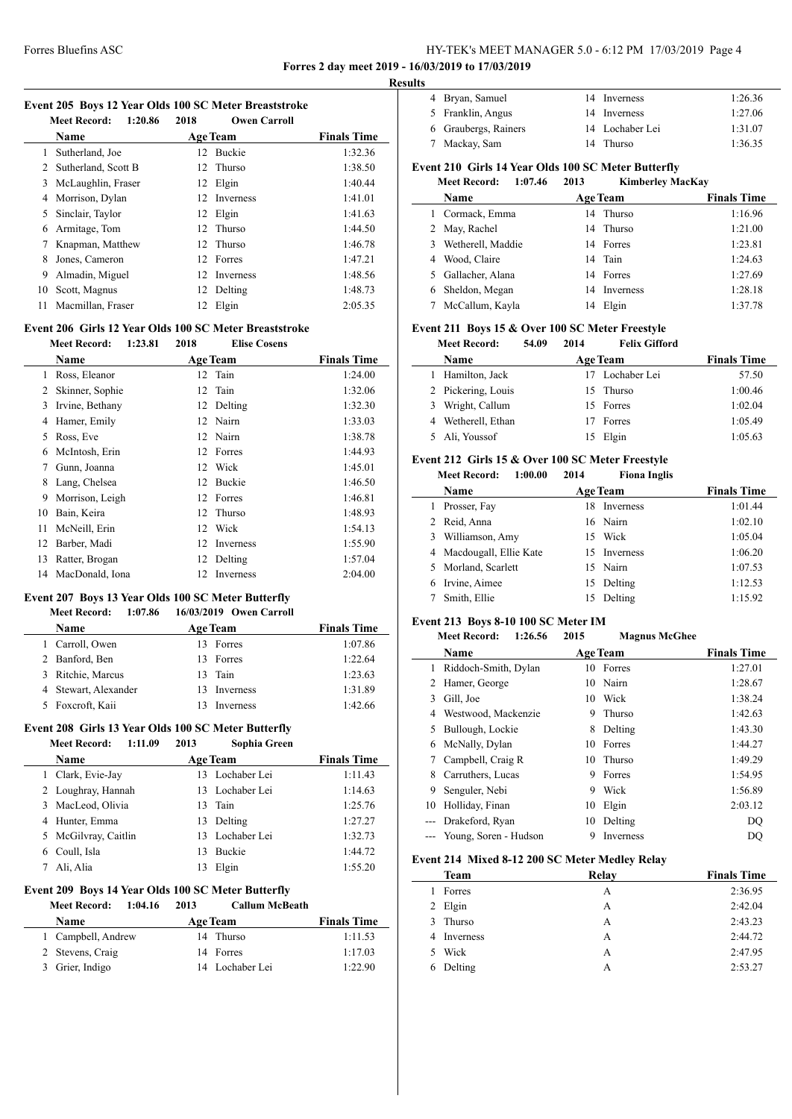### Forres Bluefins ASC HY-TEK's MEET MANAGER 5.0 - 6:12 PM 17/03/2019 Page 4 **Forres 2 day meet 2019 - 16/03/2019 to 17/03/2019**

**Results**

#### **Event 205 Boys 12 Year Olds 100 SC Meter Breaststroke**

|    | 1:20.86<br><b>Meet Record:</b> | 2018 | <b>Owen Carroll</b> |                    |
|----|--------------------------------|------|---------------------|--------------------|
|    | Name                           |      | <b>Age Team</b>     | <b>Finals Time</b> |
| 1  | Sutherland, Joe                | 12   | <b>Buckie</b>       | 1:32.36            |
| 2  | Sutherland, Scott B            |      | 12 Thurso           | 1:38.50            |
| 3  | McLaughlin, Fraser             |      | 12 Elgin            | 1:40.44            |
| 4  | Morrison, Dylan                | 12   | <b>Inverness</b>    | 1:41.01            |
| 5  | Sinclair, Taylor               |      | 12 Elgin            | 1:41.63            |
| 6  | Armitage, Tom                  |      | 12 Thurso           | 1:44.50            |
|    | Knapman, Matthew               |      | 12 Thurso           | 1:46.78            |
| 8  | Jones, Cameron                 |      | 12 Forres           | 1:47.21            |
| 9  | Almadin, Miguel                | 12.  | Inverness           | 1:48.56            |
| 10 | Scott, Magnus                  | 12   | Delting             | 1:48.73            |
| 11 | Macmillan, Fraser              | 12   | Elgin               | 2:05.35            |
|    |                                |      |                     |                    |

#### **Event 206 Girls 12 Year Olds 100 SC Meter Breaststroke Meet Record: 1:23.81 2018 Elise Cosens**

|    | Name            |    | <b>Age Team</b> | <b>Finals Time</b> |
|----|-----------------|----|-----------------|--------------------|
| 1  | Ross, Eleanor   |    | 12 Tain         | 1:24.00            |
| 2  | Skinner, Sophie | 12 | Tain            | 1:32.06            |
| 3  | Irvine, Bethany | 12 | Delting         | 1:32.30            |
| 4  | Hamer, Emily    |    | 12 Nairn        | 1:33.03            |
| 5  | Ross, Eve       |    | 12 Nairn        | 1:38.78            |
| 6  | McIntosh, Erin  |    | 12 Forres       | 1:44.93            |
| 7  | Gunn, Joanna    | 12 | Wick            | 1:45.01            |
| 8  | Lang, Chelsea   | 12 | <b>Buckie</b>   | 1:46.50            |
| 9  | Morrison, Leigh | 12 | Forres          | 1:46.81            |
| 10 | Bain, Keira     | 12 | Thurso          | 1:48.93            |
| 11 | McNeill, Erin   | 12 | Wick            | 1:54.13            |
| 12 | Barber, Madi    | 12 | Inverness       | 1:55.90            |
| 13 | Ratter, Brogan  | 12 | Delting         | 1:57.04            |
| 14 | MacDonald, Iona | 12 | Inverness       | 2:04.00            |

### **Event 207 Boys 13 Year Olds 100 SC Meter Butterfly**

#### **Meet Record: 1:07.86 16/03/2019 Owen Carroll**

| Name                 | <b>Age Team</b> | <b>Finals Time</b> |
|----------------------|-----------------|--------------------|
| Carroll, Owen        | Forres          | 1:07.86            |
| 2 Banford, Ben       | 13 Forres       | 1:22.64            |
| 3 Ritchie, Marcus    | 13 Tain         | 1:23.63            |
| 4 Stewart, Alexander | Inverness       | 1:31.89            |
| 5 Foxcroft, Kaii     | Inverness       | 1:42.66            |

#### **Event 208 Girls 13 Year Olds 100 SC Meter Butterfly Meet Record: 1:11.09 2013 Sophia Green**

| <b>Name</b>      |                      |    | <b>Age Team</b> | <b>Finals Time</b> |
|------------------|----------------------|----|-----------------|--------------------|
|                  | 1 Clark, Evie-Jay    |    | 13 Lochaber Lei | 1:11.43            |
|                  | 2 Loughray, Hannah   |    | 13 Lochaber Lei | 1:14.63            |
|                  | 3 MacLeod, Olivia    |    | 13 Tain         | 1:25.76            |
|                  | 4 Hunter, Emma       |    | 13 Delting      | 1:27.27            |
|                  | 5 McGilvray, Caitlin |    | 13 Lochaber Lei | 1:32.73            |
| Coull, Isla<br>6 |                      | 13 | <b>Buckie</b>   | 1:44.72            |
| Ali, Alia        |                      |    | Elgin           | 1:55.20            |

# **Event 209 Boys 14 Year Olds 100 SC Meter Butterfly<br>Meet Becord: 1:04 16 2013 Callum McBe**

| <b>Meet Record:</b><br>1:04.16 | 2013 | <b>Callum McBeath</b> |                    |
|--------------------------------|------|-----------------------|--------------------|
| <b>Name</b>                    |      | <b>Age Team</b>       | <b>Finals Time</b> |
| 1 Campbell, Andrew             |      | 14 Thurso             | 1:11.53            |
| 2 Stevens, Craig               |      | 14 Forres             | 1:17.03            |
| 3 Grier, Indigo                |      | 14 Lochaber Lei       | 1:22.90            |

| .                                                   |                      |  |                 |         |  |
|-----------------------------------------------------|----------------------|--|-----------------|---------|--|
|                                                     | 4 Bryan, Samuel      |  | 14 Inverness    | 1:26.36 |  |
|                                                     | 5 Franklin, Angus    |  | 14 Inverness    | 1:27.06 |  |
|                                                     | 6 Graubergs, Rainers |  | 14 Lochaber Lei | 1:31.07 |  |
|                                                     | 7 Mackay, Sam        |  | 14 Thurso       | 1:36.35 |  |
| Event 210 Girls 14 Year Olds 100 SC Meter Butterfly |                      |  |                 |         |  |

#### **Meet Record: 1:07.46 2013 Kimberley MacKay**

|   | www.needi<br>1.V/.TV | ---- | - IXHHDCLICY BLACIXA I |                    |
|---|----------------------|------|------------------------|--------------------|
|   | Name                 |      | <b>Age Team</b>        | <b>Finals Time</b> |
|   | 1 Cormack, Emma      |      | 14 Thurso              | 1:16.96            |
|   | 2 May, Rachel        |      | 14 Thurso              | 1:21.00            |
| 3 | Wetherell, Maddie    |      | 14 Forres              | 1:23.81            |
|   | 4 Wood, Claire       |      | 14 Tain                | 1:24.63            |
|   | 5 Gallacher, Alana   |      | 14 Forres              | 1:27.69            |
| 6 | Sheldon, Megan       | 14   | <b>Inverness</b>       | 1:28.18            |
|   | McCallum, Kayla      | 14   | Elgin                  | 1:37.78            |
|   |                      |      |                        |                    |

### **Event 211 Boys 15 & Over 100 SC Meter Freestyle**

|   | <b>Meet Record:</b> | 54.09 | 2014 | <b>Felix Gifford</b> |                    |
|---|---------------------|-------|------|----------------------|--------------------|
|   | Name                |       |      | <b>Age Team</b>      | <b>Finals Time</b> |
|   | Hamilton, Jack      |       |      | 17 Lochaber Lei      | 57.50              |
|   | 2 Pickering, Louis  |       |      | 15 Thurso            | 1:00.46            |
| 3 | Wright, Callum      |       |      | 15 Forres            | 1:02.04            |
| 4 | Wetherell, Ethan    |       |      | Forres               | 1:05.49            |
|   | Ali, Youssof        |       |      | Elgin                | 1:05.63            |

### **Event 212 Girls 15 & Over 100 SC Meter Freestyle**

#### **Meet Record: 1:00.00 2014 Fiona Inglis**

|   | Name                     | <b>Age Team</b> | <b>Finals Time</b> |
|---|--------------------------|-----------------|--------------------|
| L | Prosser, Fay             | 18 Inverness    | 1:01.44            |
|   | 2 Reid, Anna             | 16 Nairn        | 1:02.10            |
| 3 | Williamson, Amy          | 15 Wick         | 1:05.04            |
|   | 4 Macdougall, Ellie Kate | 15 Inverness    | 1:06.20            |
|   | 5 Morland, Scarlett      | 15 Nairn        | 1:07.53            |
|   | Irvine, Aimee            | 15 Delting      | 1:12.53            |
|   | Smith, Ellie             | 15 Delting      | 1:15.92            |
|   |                          |                 |                    |

#### **Event 213 Boys 8-10 100 SC Meter IM**

 $\overline{\phantom{a}}$ 

 $\frac{1}{2}$ 

|    | 1:26.56<br><b>Meet Record:</b> | 2015 | <b>Magnus McGhee</b> |                    |
|----|--------------------------------|------|----------------------|--------------------|
|    | <b>Name</b>                    |      | <b>Age Team</b>      | <b>Finals Time</b> |
|    | Riddoch-Smith, Dylan           | 10   | Forres               | 1:27.01            |
| 2  | Hamer, George                  | 10   | Nairn                | 1:28.67            |
| 3  | Gill, Joe                      | 10   | Wick                 | 1:38.24            |
| 4  | Westwood, Mackenzie            | 9    | Thurso               | 1:42.63            |
| 5. | Bullough, Lockie               | 8    | Delting              | 1:43.30            |
| 6  | McNally, Dylan                 | 10   | Forres               | 1:44.27            |
| 7  | Campbell, Craig R              | 10   | Thurso               | 1:49.29            |
| 8  | Carruthers, Lucas              | 9    | Forres               | 1:54.95            |
| 9  | Senguler, Nebi                 | 9    | Wick                 | 1:56.89            |
| 10 | Holliday, Finan                | 10   | Elgin                | 2:03.12            |
|    | Drakeford, Ryan                | 10   | Delting              | DO                 |
|    | --- Young, Soren - Hudson      | 9    | Inverness            | DO                 |

### **Event 214 Mixed 8-12 200 SC Meter Medley Relay**

|               | Team             | Relay | <b>Finals Time</b> |
|---------------|------------------|-------|--------------------|
|               | Forres           | А     | 2:36.95            |
| 2             | Elgin            | A     | 2:42.04            |
| $\mathcal{F}$ | Thurso           | А     | 2:43.23            |
| 4             | <b>Inverness</b> | А     | 2:44.72            |
| 5.            | Wick             | А     | 2:47.95            |
|               | Delting          | А     | 2:53.27            |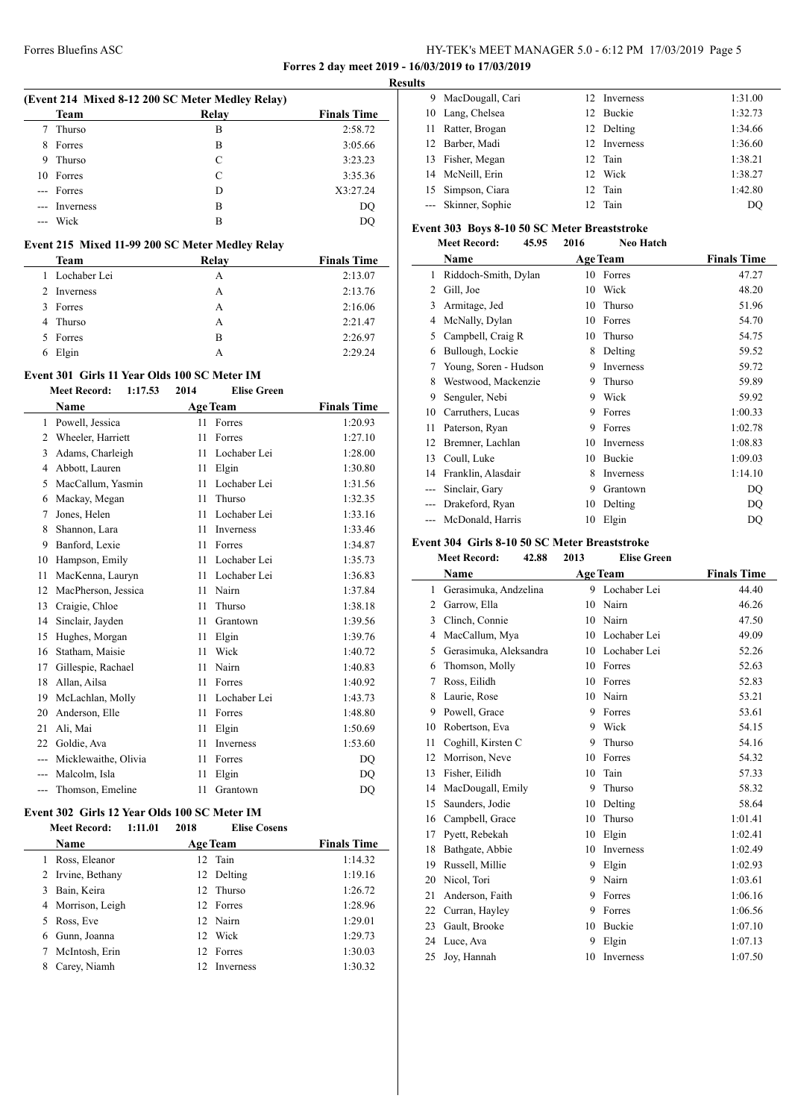# Forres Bluefins ASC HY-TEK's MEET MANAGER 5.0 - 6:12 PM 17/03/2019 Page 5

**Forres 2 day meet 2019 - 16/03/2019 to 17/03/2019**

|                |                                                  |      |                     |                    | <b>Results</b> |
|----------------|--------------------------------------------------|------|---------------------|--------------------|----------------|
|                | (Event 214 Mixed 8-12 200 SC Meter Medley Relay) |      |                     |                    |                |
|                | Team                                             |      | Relay               | <b>Finals Time</b> |                |
| 7              | Thurso                                           |      | B                   | 2:58.72            |                |
| 8              | Forres                                           |      | B                   | 3:05.66            |                |
| 9              | Thurso                                           |      | $\mathcal{C}$       | 3:23.23            |                |
| 10             | Forres                                           |      | C                   | 3:35.36            |                |
|                | --- Forres                                       |      | D                   | X3:27.24           |                |
|                | Inverness                                        |      | B                   | DQ                 |                |
| $\overline{a}$ | Wick                                             |      | B                   | DQ                 | Ev             |
|                | Event 215 Mixed 11-99 200 SC Meter Medley Relay  |      |                     |                    |                |
|                | Team                                             |      | Relay               | <b>Finals Time</b> |                |
| 1.             | Lochaber Lei                                     |      | A                   | 2:13.07            |                |
|                | 2 Inverness                                      |      | А                   | 2:13.76            |                |
|                | 3 Forres                                         |      | A                   | 2:16.06            |                |
| 4              | Thurso                                           |      | A                   | 2:21.47            |                |
| 5              | Forres                                           |      | B                   | 2:26.97            |                |
|                | 6 Elgin                                          |      | А                   | 2:29.24            |                |
|                | Event 301 Girls 11 Year Olds 100 SC Meter IM     |      |                     |                    |                |
|                | <b>Meet Record:</b><br>1:17.53                   | 2014 | <b>Elise Green</b>  |                    |                |
|                | Name                                             |      | <b>Age Team</b>     | <b>Finals Time</b> |                |
|                | 1 Powell, Jessica                                |      | 11 Forres           | 1:20.93            |                |
|                | 2 Wheeler, Harriett                              |      | 11 Forres           | 1:27.10            |                |
| 3              | Adams, Charleigh                                 |      | 11 Lochaber Lei     | 1:28.00            |                |
|                | 4 Abbott, Lauren                                 |      | 11 Elgin            | 1:30.80            |                |
|                | 5 MacCallum, Yasmin                              |      | 11 Lochaber Lei     | 1:31.56            |                |
|                | 6 Mackay, Megan                                  | 11   | Thurso              | 1:32.35            |                |
| 7              | Jones, Helen                                     |      | 11 Lochaber Lei     | 1:33.16            |                |
| 8              | Shannon, Lara                                    |      | 11 Inverness        | 1:33.46            |                |
|                | 9 Banford, Lexie                                 |      | 11 Forres           | 1:34.87            | Ev             |
|                | 10 Hampson, Emily                                |      | 11 Lochaber Lei     | 1:35.73            |                |
| 11             | MacKenna, Lauryn                                 |      | 11 Lochaber Lei     | 1:36.83            |                |
|                | 12 MacPherson, Jessica                           |      | 11 Nairn            | 1:37.84            |                |
| 13             | Craigie, Chloe                                   | 11   | Thurso              | 1:38.18            |                |
| 14             | Sinclair, Jayden                                 | 11   | Grantown            | 1:39.56            |                |
| 15             | Hughes, Morgan                                   |      | 11 Elgin            | 1:39.76            |                |
| 16             | Statham, Maisie                                  |      | 11 Wick             | 1:40.72            |                |
| 17             | Gillespie, Rachael                               | 11   | Nairn               | 1:40.83            |                |
|                | 18 Allan, Ailsa                                  |      | 11 Forres           | 1:40.92            |                |
|                | 19 McLachlan, Molly                              |      | 11 Lochaber Lei     | 1:43.73            |                |
|                | 20 Anderson, Elle                                |      | 11 Forres           | 1:48.80            |                |
|                | 21 Ali, Mai                                      |      | 11 Elgin            | 1:50.69            |                |
|                | 22 Goldie, Ava                                   |      | 11 Inverness        | 1:53.60            |                |
|                | --- Micklewaithe, Olivia                         |      | 11 Forres           | DQ                 |                |
|                | --- Malcolm, Isla                                | 11   | Elgin               | DQ                 |                |
|                | --- Thomson, Emeline                             | 11   | Grantown            | DQ                 |                |
|                |                                                  |      |                     |                    |                |
|                | Event 302 Girls 12 Year Olds 100 SC Meter IM     |      |                     |                    |                |
|                | <b>Meet Record:</b><br>1:11.01                   | 2018 | <b>Elise Cosens</b> |                    |                |
|                | Name                                             |      | <b>Age Team</b>     | <b>Finals Time</b> |                |
|                | 1 Ross, Eleanor                                  |      | 12 Tain             | 1:14.32            |                |
|                | 2 Irvine, Bethany                                |      | 12 Delting          | 1:19.16            |                |

 Bain, Keira 12 Thurso 1:26.72 Morrison, Leigh 12 Forres 1:28.96 Ross, Eve 12 Nairn 1:29.01 Gunn, Joanna 12 Wick 1:29.73 McIntosh, Erin 12 Forres 1:30.03 Carey, Niamh 12 Inverness 1:30.32

| s |                     |                 |                  |         |
|---|---------------------|-----------------|------------------|---------|
| 9 | MacDougall, Cari    |                 | 12 Inverness     | 1:31.00 |
|   | 10 Lang, Chelsea    | 12.             | <b>Buckie</b>    | 1:32.73 |
|   | 11 Ratter, Brogan   |                 | 12 Delting       | 1:34.66 |
|   | 12 Barber, Madi     | 12 <sup>2</sup> | <b>Inverness</b> | 1:36.60 |
|   | 13 Fisher, Megan    |                 | 12 Tain          | 1:38.21 |
|   | 14 McNeill, Erin    | 12 <sub>1</sub> | Wick             | 1:38.27 |
|   | 15 Simpson, Ciara   |                 | 12 Tain          | 1:42.80 |
|   | --- Skinner, Sophie |                 | 12 Tain          | DO      |

### **Event 303 Boys 8-10 50 SC Meter Breaststroke**

|       | $\frac{1}{2}$<br><b>Meet Record:</b> | 45.95 | 2016 | <b>Neo Hatch</b> |                    |
|-------|--------------------------------------|-------|------|------------------|--------------------|
|       | Name                                 |       |      | <b>Age Team</b>  | <b>Finals Time</b> |
| 1     | Riddoch-Smith, Dylan                 |       | 10   | Forres           | 47.27              |
| 2     | Gill, Joe                            |       | 10   | Wick             | 48.20              |
| 3     | Armitage, Jed                        |       | 10   | Thurso           | 51.96              |
| 4     | McNally, Dylan                       |       | 10   | Forres           | 54.70              |
| 5     | Campbell, Craig R                    |       | 10   | Thurso           | 54.75              |
| 6     | Bullough, Lockie                     |       | 8    | Delting          | 59.52              |
| 7     | Young, Soren - Hudson                |       | 9    | Inverness        | 59.72              |
| 8     | Westwood, Mackenzie                  |       | 9    | Thurso           | 59.89              |
| 9     | Senguler, Nebi                       |       | 9    | Wick             | 59.92              |
| 10    | Carruthers, Lucas                    |       | 9    | Forres           | 1:00.33            |
| 11    | Paterson, Ryan                       |       | 9    | Forres           | 1:02.78            |
| 12    | Bremner, Lachlan                     |       | 10   | Inverness        | 1:08.83            |
| 13    | Coull, Luke                          |       | 10   | Buckie           | 1:09.03            |
| 14    | Franklin, Alasdair                   |       | 8    | Inverness        | 1:14.10            |
|       | Sinclair, Gary                       |       | 9    | Grantown         | DQ                 |
| $---$ | Drakeford, Ryan                      |       | 10   | Delting          | DQ                 |
|       | McDonald, Harris                     |       | 10   | Elgin            | DQ                 |

### **Event 304 Girls 8-10 50 SC Meter Breaststroke**

|              | <b>Meet Record:</b><br>42.88 | 2013 | <b>Elise Green</b> |                    |
|--------------|------------------------------|------|--------------------|--------------------|
|              | <b>Name</b>                  |      | Age Team           | <b>Finals Time</b> |
| $\mathbf{1}$ | Gerasimuka, Andzelina        |      | 9 Lochaber Lei     | 44.40              |
| 2            | Garrow, Ella                 | 10   | Nairn              | 46.26              |
| 3            | Clinch, Connie               | 10   | Nairn              | 47.50              |
| 4            | MacCallum, Mya               | 10   | Lochaber Lei       | 49.09              |
| 5            | Gerasimuka, Aleksandra       | 10   | Lochaber Lei       | 52.26              |
| 6            | Thomson, Molly               | 10   | Forres             | 52.63              |
| 7            | Ross, Eilidh                 | 10   | Forres             | 52.83              |
| 8            | Laurie, Rose                 | 10   | Nairn              | 53.21              |
| 9            | Powell, Grace                | 9    | Forres             | 53.61              |
| 10           | Robertson, Eva               | 9    | Wick               | 54.15              |
| 11           | Coghill, Kirsten C           | 9    | Thurso             | 54.16              |
| 12           | Morrison, Neve               | 10   | Forres             | 54.32              |
| 13           | Fisher, Eilidh               | 10   | Tain               | 57.33              |
| 14           | MacDougall, Emily            | 9    | Thurso             | 58.32              |
| 15           | Saunders, Jodie              | 10   | Delting            | 58.64              |
| 16           | Campbell, Grace              | 10   | Thurso             | 1:01.41            |
| 17           | Pyett, Rebekah               | 10   | Elgin              | 1:02.41            |
| 18           | Bathgate, Abbie              | 10   | <b>Inverness</b>   | 1:02.49            |
| 19           | Russell, Millie              | 9    | Elgin              | 1:02.93            |
| 20           | Nicol, Tori                  | 9    | Nairn              | 1:03.61            |
| 21           | Anderson, Faith              | 9    | Forres             | 1:06.16            |
| 22           | Curran, Hayley               | 9    | Forres             | 1:06.56            |
| 23           | Gault, Brooke                | 10   | <b>Buckie</b>      | 1:07.10            |
| 24           | Luce, Ava                    | 9    | Elgin              | 1:07.13            |
| 25           | Joy, Hannah                  | 10   | Inverness          | 1:07.50            |
|              |                              |      |                    |                    |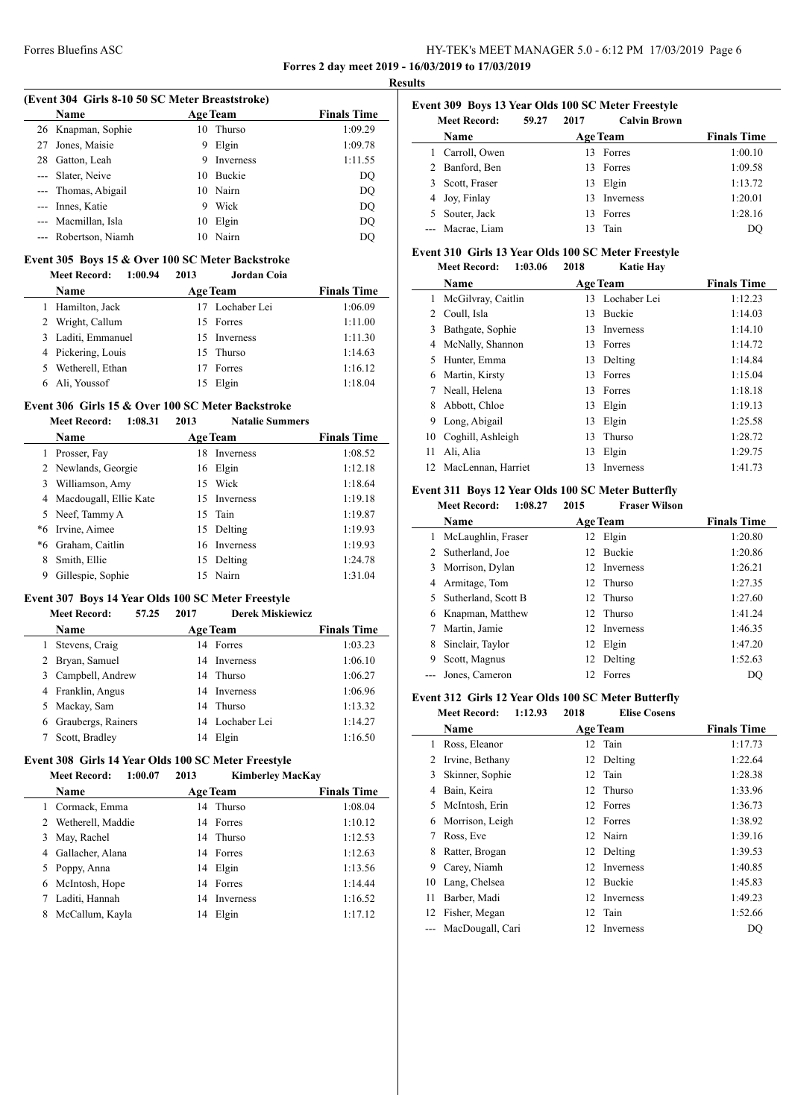### Forres Bluefins ASC HY-TEK's MEET MANAGER 5.0 - 6:12 PM 17/03/2019 Page 6 **Forres 2 day meet 2019 - 16/03/2019 to 17/03/2019**

**Results**

#### **(Event 304 Girls 8-10 50 SC Meter Breaststroke)**

|    | Name                 |    | <b>Age Team</b> | <b>Finals Time</b> |
|----|----------------------|----|-----------------|--------------------|
|    | 26 Knapman, Sophie   | 10 | Thurso          | 1:09.29            |
| 27 | Jones, Maisie        | 9  | Elgin           | 1:09.78            |
| 28 | Gatton, Leah         | 9  | Inverness       | 1:11.55            |
|    | --- Slater, Neive    | 10 | <b>Buckie</b>   | DQ                 |
|    | --- Thomas, Abigail  | 10 | Nairn           | DQ                 |
|    | --- Innes, Katie     | 9  | Wick            | DQ                 |
|    | --- Macmillan, Isla  | 10 | Elgin           | DQ                 |
|    | --- Robertson, Niamh | 10 | Nairn           | DO                 |
|    |                      |    |                 |                    |

#### **Event 305 Boys 15 & Over 100 SC Meter Backstroke Meet Record: 1:00.94 2013 Jordan Coia**

| <b>Name</b>        | <b>Age Team</b> | <b>Finals Time</b> |
|--------------------|-----------------|--------------------|
| 1 Hamilton, Jack   | 17 Lochaber Lei | 1:06.09            |
| 2 Wright, Callum   | 15 Forres       | 1:11.00            |
| 3 Laditi, Emmanuel | 15 Inverness    | 1:11.30            |
| 4 Pickering, Louis | 15 Thurso       | 1:14.63            |
| 5 Wetherell, Ethan | Forres          | 1:16.12            |
| 6 Ali, Youssof     | 15 Elgin        | 1:18.04            |

### **Event 306 Girls 15 & Over 100 SC Meter Backstroke**

#### **Meet Record: 1:08.31 2013 Natalie Summers**

|    | <b>Name</b>              |    | <b>Age Team</b> | <b>Finals Time</b> |
|----|--------------------------|----|-----------------|--------------------|
|    | Prosser, Fay             | 18 | Inverness       | 1:08.52            |
|    | 2 Newlands, Georgie      | 16 | Elgin           | 1:12.18            |
| 3  | Williamson, Amy          | 15 | Wick            | 1:18.64            |
|    | 4 Macdougall, Ellie Kate |    | 15 Inverness    | 1:19.18            |
|    | 5 Neef, Tammy A          |    | 15 Tain         | 1:19.87            |
| *6 | Irvine, Aimee            |    | 15 Delting      | 1:19.93            |
| *6 | Graham, Caitlin          |    | 16 Inverness    | 1:19.93            |
| 8  | Smith, Ellie             | 15 | Delting         | 1:24.78            |
| 9  | Gillespie, Sophie        |    | 15 Nairn        | 1:31.04            |

#### **Event 307 Boys 14 Year Olds 100 SC Meter Freestyle**

#### **Meet Record: 57.25 2017 Derek Miskiewicz**

|    | <b>Name</b>          |    | <b>Age Team</b>  | <b>Finals Time</b> |
|----|----------------------|----|------------------|--------------------|
|    | Stevens, Craig       |    | 14 Forres        | 1:03.23            |
|    | 2 Bryan, Samuel      | 14 | <b>Inverness</b> | 1:06.10            |
|    | 3 Campbell, Andrew   |    | 14 Thurso        | 1:06.27            |
|    | 4 Franklin, Angus    | 14 | <b>Inverness</b> | 1:06.96            |
| 5. | Mackay, Sam          |    | 14 Thurso        | 1:13.32            |
|    | 6 Graubergs, Rainers |    | 14 Lochaber Lei  | 1:14.27            |
|    | Scott, Bradley       | 14 | Elgin            | 1:16.50            |

#### **Event 308 Girls 14 Year Olds 100 SC Meter Freestyle**

|   | 1:00.07<br><b>Meet Record:</b> | 2013 | <b>Kimberley MacKay</b> |                    |
|---|--------------------------------|------|-------------------------|--------------------|
|   | <b>Name</b>                    |      | <b>Age Team</b>         | <b>Finals Time</b> |
|   | Cormack, Emma                  |      | 14 Thurso               | 1:08.04            |
| 2 | Wetherell, Maddie              |      | 14 Forres               | 1:10.12            |
| 3 | May, Rachel                    |      | 14 Thurso               | 1:12.53            |
| 4 | Gallacher, Alana               |      | 14 Forres               | 1:12.63            |
|   | 5 Poppy, Anna                  | 14   | Elgin                   | 1:13.56            |
| 6 | McIntosh, Hope                 |      | 14 Forres               | 1:14.44            |
|   | Laditi, Hannah                 | 14   | <b>Inverness</b>        | 1:16.52            |
| 8 | McCallum, Kayla                | 14   | Elgin                   | 1:17.12            |

### **Event 309 Boys 13 Year Olds 100 SC Meter Freestyle**

|    | <b>Meet Record:</b> | 59.27           | 2017 | <b>Calvin Brown</b> |         |
|----|---------------------|-----------------|------|---------------------|---------|
|    | <b>Name</b>         | <b>Age Team</b> |      | <b>Finals Time</b>  |         |
|    | Carroll, Owen       |                 | 13.  | Forres              | 1:00.10 |
| 2. | Banford, Ben        |                 | 13.  | Forres              | 1:09.58 |
| 3  | Scott, Fraser       |                 | 13   | Elgin               | 1:13.72 |
|    | 4 Joy, Finlay       |                 | 13.  | <b>Inverness</b>    | 1:20.01 |
| 5. | Souter, Jack        |                 | 13.  | Forres              | 1:28.16 |
|    | Macrae, Liam        |                 | 13   | Tain                | DO      |

#### **Event 310 Girls 13 Year Olds 100 SC Meter Freestyle Meet Record: 1:03.06 2018 Katie Hay**

|                | NICCL INCLUI U.<br>1.VJ.VV | 40 I O | іхане паў       |                    |
|----------------|----------------------------|--------|-----------------|--------------------|
|                | <b>Name</b>                |        | <b>Age Team</b> | <b>Finals Time</b> |
| 1.             | McGilvray, Caitlin         |        | 13 Lochaber Lei | 1:12.23            |
| $\mathfrak{D}$ | Coull, Isla                | 13     | <b>Buckie</b>   | 1:14.03            |
| 3              | Bathgate, Sophie           | 13     | Inverness       | 1:14.10            |
| 4              | McNally, Shannon           |        | 13 Forres       | 1:14.72            |
| 5              | Hunter, Emma               | 13     | Delting         | 1:14.84            |
| 6              | Martin, Kirsty             | 13     | Forres          | 1:15.04            |
|                | Neall, Helena              | 13     | Forres          | 1:18.18            |
| 8              | Abbott, Chloe              | 13     | Elgin           | 1:19.13            |
| 9              | Long, Abigail              | 13     | Elgin           | 1:25.58            |
| 10             | Coghill, Ashleigh          | 13     | Thurso          | 1:28.72            |
| 11             | Ali, Alia                  | 13     | Elgin           | 1:29.75            |
| 12             | MacLennan, Harriet         | 13     | Inverness       | 1:41.73            |
|                |                            |        |                 |                    |

#### **Event 311 Boys 12 Year Olds 100 SC Meter Butterfly Meet Record: 1:08.27 2015 Fraser Wilson**

|   | месь кесога:<br>1.90.4 | 40 L.Y | гтаэсг уунуун   |                    |
|---|------------------------|--------|-----------------|--------------------|
|   | Name                   |        | <b>Age Team</b> | <b>Finals Time</b> |
|   | McLaughlin, Fraser     |        | 12 Elgin        | 1:20.80            |
|   | 2 Sutherland, Joe      |        | 12 Buckie       | 1:20.86            |
|   | 3 Morrison, Dylan      |        | 12 Inverness    | 1:26.21            |
| 4 | Armitage, Tom          |        | 12 Thurso       | 1:27.35            |
|   | 5 Sutherland, Scott B  |        | 12 Thurso       | 1:27.60            |
| 6 | Knapman, Matthew       |        | 12 Thurso       | 1:41.24            |
|   | Martin, Jamie          |        | 12 Inverness    | 1:46.35            |
| 8 | Sinclair, Taylor       |        | 12 Elgin        | 1:47.20            |
| 9 | Scott, Magnus          |        | 12 Delting      | 1:52.63            |
|   | Jones, Cameron         |        | 12 Forres       | DO                 |

### **Event 312 Girls 12 Year Olds 100 SC Meter Butterfly**

**Meet Record: 1:12.93 2018 Elise Cosens Name Age Team Finals Time**  Ross, Eleanor 12 Tain 1:17.73 2 Irvine, Bethany 12 Delting 1:22.64<br>3 Skinner, Sophie 12 Tain 1:28.38 3 Skinner, Sophie 12 Tain 1:28.38<br>4 Bain, Keira 12 Thurso 1:33.96 4 Bain, Keira 12 Thurso 1:33.96<br>5 McIntosh, Erin 12 Forres 1:36.73 5 McIntosh, Erin 12 Forres 1:36.73<br>6 Morrison, Leigh 12 Forres 1:38.92 Morrison, Leigh 12 Forres 1:38.92 Ross, Eve 12 Nairn 1:39.16 Ratter, Brogan 12 Delting 1:39.53 Carey, Niamh 12 Inverness 1:40.85

| 10 Lang, Chelsea     | 12 Buckie    | 1:45.83 |
|----------------------|--------------|---------|
| 11 Barber, Madi      | 12 Inverness | 1:49.23 |
| 12 Fisher, Megan     | 12 Tain      | 1:52.66 |
| --- MacDougall, Cari | 12 Inverness | DO      |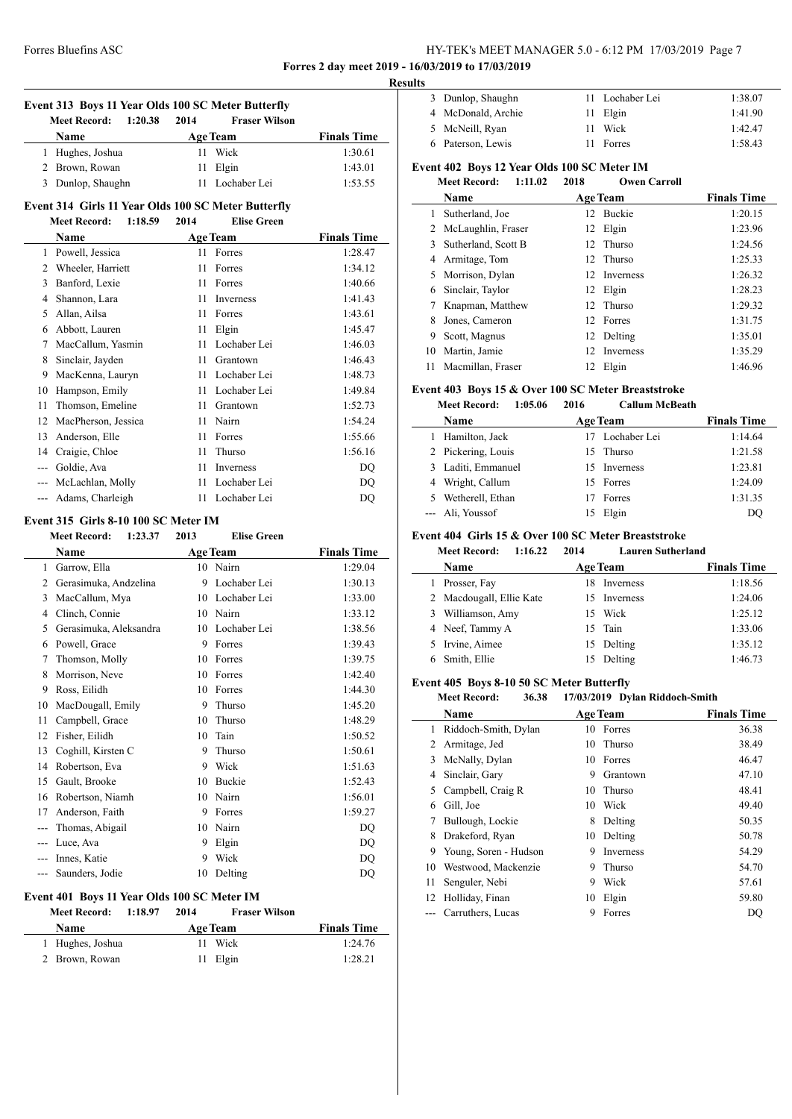# Forres Bluefins ASC HY-TEK's MEET MANAGER 5.0 - 6:12 PM 17/03/2019 Page 7

**Forres 2 day meet 2019 - 16/03/2019 to 17/03/2019**

| <b>Age Team</b><br><b>Finals Time</b><br>Name<br>11 Wick<br>1 Hughes, Joshua<br>1:30.61<br>2 Brown, Rowan<br>11 Elgin<br>1:43.01<br>3 Dunlop, Shaughn<br>11 Lochaber Lei<br>1:53.55<br>Event 314 Girls 11 Year Olds 100 SC Meter Butterfly<br>1:18.59<br><b>Elise Green</b><br><b>Meet Record:</b><br>2014<br><b>Finals Time</b><br><b>Age Team</b><br><b>Name</b><br>1 Powell, Jessica<br>11 Forres<br>1:28.47<br>2 Wheeler, Harriett<br>11<br>1:34.12<br>Forres<br>3 Banford, Lexie<br>1:40.66<br>11 Forres<br>4 Shannon, Lara<br>1:41.43<br>11 Inverness<br>5 Allan, Ailsa<br>11 Forres<br>1:43.61<br>6 Abbott, Lauren<br>1:45.47<br>11 Elgin<br>7 MacCallum, Yasmin<br>11 Lochaber Lei<br>1:46.03<br>8 Sinclair, Jayden<br>1:46.43<br>11 Grantown<br>9 MacKenna, Lauryn<br>1:48.73<br>11 Lochaber Lei<br>10 Hampson, Emily<br>11 Lochaber Lei<br>1:49.84<br>11 Thomson, Emeline<br>1:52.73<br>11 Grantown<br>12 MacPherson, Jessica<br>11 Nairn<br>1:54.24<br>13 Anderson, Elle<br>11 Forres<br>1:55.66<br>14 Craigie, Chloe<br>1:56.16<br>11<br>Thurso<br>--- Goldie, Ava<br>11 Inverness<br>DQ<br>--- McLachlan, Molly<br>11 Lochaber Lei<br>DQ<br>--- Adams, Charleigh<br>11 Lochaber Lei<br>DQ<br>Event 315 Girls 8-10 100 SC Meter IM<br><b>Meet Record: 1:23.37</b><br>2013<br><b>Elise Green</b><br><b>Age Team</b><br><b>Finals Time</b><br>Name<br>1 Garrow, Ella<br>10 Nairn<br>1:29.04<br>2 Gerasimuka, Andzelina<br>9 Lochaber Lei<br>1:30.13<br>3 MacCallum, Mya<br>10 Lochaber Lei<br>1:33.00<br>4 Clinch, Connie<br>10 Nairn<br>1:33.12<br>5 Gerasimuka, Aleksandra<br>10 Lochaber Lei<br>1:38.56<br>6 Powell, Grace<br>9 Forres<br>1:39.43<br>1:39.75<br>7 Thomson, Molly<br>10 Forres<br>8 Morrison, Neve<br>1:42.40<br>10 Forres<br>1:44.30<br>9<br>Ross, Eilidh<br>10<br>Forres<br>MacDougall, Emily<br>9<br>10<br>Thurso<br>1:45.20<br>11<br>Campbell, Grace<br>10<br>Thurso<br>1:48.29<br>12 Fisher, Eilidh<br>10 Tain<br>1:50.52<br>13 Coghill, Kirsten C<br>9 Thurso<br>1:50.61<br>14 Robertson, Eva<br>9 Wick<br>1:51.63<br>15 Gault, Brooke<br>10 Buckie<br>1:52.43<br>10 Nairn<br>16 Robertson, Niamh<br>1:56.01<br>17 Anderson, Faith<br>9 Forres<br>1:59.27<br>10 Nairn<br>--- Thomas, Abigail<br>DQ<br>9 Elgin<br>--- Luce, Ava<br>DQ<br>Wick<br>--- Innes, Katie<br>9<br>DQ<br>--- Saunders, Jodie<br>10<br>Delting<br>DQ<br>Event 401 Boys 11 Year Olds 100 SC Meter IM<br><b>Meet Record:</b><br>2014<br><b>Fraser Wilson</b><br>1:18.97<br><b>Age Team</b><br><b>Finals Time</b><br>Name<br>1 Hughes, Joshua<br>11<br>Wick<br>1:24.76 | Event 313 Boys 11 Year Olds 100 SC Meter Butterfly |                                |      |                      |         |  |  |  |
|----------------------------------------------------------------------------------------------------------------------------------------------------------------------------------------------------------------------------------------------------------------------------------------------------------------------------------------------------------------------------------------------------------------------------------------------------------------------------------------------------------------------------------------------------------------------------------------------------------------------------------------------------------------------------------------------------------------------------------------------------------------------------------------------------------------------------------------------------------------------------------------------------------------------------------------------------------------------------------------------------------------------------------------------------------------------------------------------------------------------------------------------------------------------------------------------------------------------------------------------------------------------------------------------------------------------------------------------------------------------------------------------------------------------------------------------------------------------------------------------------------------------------------------------------------------------------------------------------------------------------------------------------------------------------------------------------------------------------------------------------------------------------------------------------------------------------------------------------------------------------------------------------------------------------------------------------------------------------------------------------------------------------------------------------------------------------------------------------------------------------------------------------------------------------------------------------------------------------------------------------------------------------------------------------------------------------------------------------------------------------------------------------------------------------------------------------------------------------------------------------------------------------------------------------------------------------|----------------------------------------------------|--------------------------------|------|----------------------|---------|--|--|--|
|                                                                                                                                                                                                                                                                                                                                                                                                                                                                                                                                                                                                                                                                                                                                                                                                                                                                                                                                                                                                                                                                                                                                                                                                                                                                                                                                                                                                                                                                                                                                                                                                                                                                                                                                                                                                                                                                                                                                                                                                                                                                                                                                                                                                                                                                                                                                                                                                                                                                                                                                                                            |                                                    | 1:20.38<br><b>Meet Record:</b> | 2014 | <b>Fraser Wilson</b> |         |  |  |  |
|                                                                                                                                                                                                                                                                                                                                                                                                                                                                                                                                                                                                                                                                                                                                                                                                                                                                                                                                                                                                                                                                                                                                                                                                                                                                                                                                                                                                                                                                                                                                                                                                                                                                                                                                                                                                                                                                                                                                                                                                                                                                                                                                                                                                                                                                                                                                                                                                                                                                                                                                                                            |                                                    |                                |      |                      |         |  |  |  |
|                                                                                                                                                                                                                                                                                                                                                                                                                                                                                                                                                                                                                                                                                                                                                                                                                                                                                                                                                                                                                                                                                                                                                                                                                                                                                                                                                                                                                                                                                                                                                                                                                                                                                                                                                                                                                                                                                                                                                                                                                                                                                                                                                                                                                                                                                                                                                                                                                                                                                                                                                                            |                                                    |                                |      |                      |         |  |  |  |
|                                                                                                                                                                                                                                                                                                                                                                                                                                                                                                                                                                                                                                                                                                                                                                                                                                                                                                                                                                                                                                                                                                                                                                                                                                                                                                                                                                                                                                                                                                                                                                                                                                                                                                                                                                                                                                                                                                                                                                                                                                                                                                                                                                                                                                                                                                                                                                                                                                                                                                                                                                            |                                                    |                                |      |                      |         |  |  |  |
|                                                                                                                                                                                                                                                                                                                                                                                                                                                                                                                                                                                                                                                                                                                                                                                                                                                                                                                                                                                                                                                                                                                                                                                                                                                                                                                                                                                                                                                                                                                                                                                                                                                                                                                                                                                                                                                                                                                                                                                                                                                                                                                                                                                                                                                                                                                                                                                                                                                                                                                                                                            |                                                    |                                |      |                      |         |  |  |  |
|                                                                                                                                                                                                                                                                                                                                                                                                                                                                                                                                                                                                                                                                                                                                                                                                                                                                                                                                                                                                                                                                                                                                                                                                                                                                                                                                                                                                                                                                                                                                                                                                                                                                                                                                                                                                                                                                                                                                                                                                                                                                                                                                                                                                                                                                                                                                                                                                                                                                                                                                                                            |                                                    |                                |      |                      |         |  |  |  |
|                                                                                                                                                                                                                                                                                                                                                                                                                                                                                                                                                                                                                                                                                                                                                                                                                                                                                                                                                                                                                                                                                                                                                                                                                                                                                                                                                                                                                                                                                                                                                                                                                                                                                                                                                                                                                                                                                                                                                                                                                                                                                                                                                                                                                                                                                                                                                                                                                                                                                                                                                                            |                                                    |                                |      |                      |         |  |  |  |
|                                                                                                                                                                                                                                                                                                                                                                                                                                                                                                                                                                                                                                                                                                                                                                                                                                                                                                                                                                                                                                                                                                                                                                                                                                                                                                                                                                                                                                                                                                                                                                                                                                                                                                                                                                                                                                                                                                                                                                                                                                                                                                                                                                                                                                                                                                                                                                                                                                                                                                                                                                            |                                                    |                                |      |                      |         |  |  |  |
|                                                                                                                                                                                                                                                                                                                                                                                                                                                                                                                                                                                                                                                                                                                                                                                                                                                                                                                                                                                                                                                                                                                                                                                                                                                                                                                                                                                                                                                                                                                                                                                                                                                                                                                                                                                                                                                                                                                                                                                                                                                                                                                                                                                                                                                                                                                                                                                                                                                                                                                                                                            |                                                    |                                |      |                      |         |  |  |  |
|                                                                                                                                                                                                                                                                                                                                                                                                                                                                                                                                                                                                                                                                                                                                                                                                                                                                                                                                                                                                                                                                                                                                                                                                                                                                                                                                                                                                                                                                                                                                                                                                                                                                                                                                                                                                                                                                                                                                                                                                                                                                                                                                                                                                                                                                                                                                                                                                                                                                                                                                                                            |                                                    |                                |      |                      |         |  |  |  |
|                                                                                                                                                                                                                                                                                                                                                                                                                                                                                                                                                                                                                                                                                                                                                                                                                                                                                                                                                                                                                                                                                                                                                                                                                                                                                                                                                                                                                                                                                                                                                                                                                                                                                                                                                                                                                                                                                                                                                                                                                                                                                                                                                                                                                                                                                                                                                                                                                                                                                                                                                                            |                                                    |                                |      |                      |         |  |  |  |
|                                                                                                                                                                                                                                                                                                                                                                                                                                                                                                                                                                                                                                                                                                                                                                                                                                                                                                                                                                                                                                                                                                                                                                                                                                                                                                                                                                                                                                                                                                                                                                                                                                                                                                                                                                                                                                                                                                                                                                                                                                                                                                                                                                                                                                                                                                                                                                                                                                                                                                                                                                            |                                                    |                                |      |                      |         |  |  |  |
|                                                                                                                                                                                                                                                                                                                                                                                                                                                                                                                                                                                                                                                                                                                                                                                                                                                                                                                                                                                                                                                                                                                                                                                                                                                                                                                                                                                                                                                                                                                                                                                                                                                                                                                                                                                                                                                                                                                                                                                                                                                                                                                                                                                                                                                                                                                                                                                                                                                                                                                                                                            |                                                    |                                |      |                      |         |  |  |  |
|                                                                                                                                                                                                                                                                                                                                                                                                                                                                                                                                                                                                                                                                                                                                                                                                                                                                                                                                                                                                                                                                                                                                                                                                                                                                                                                                                                                                                                                                                                                                                                                                                                                                                                                                                                                                                                                                                                                                                                                                                                                                                                                                                                                                                                                                                                                                                                                                                                                                                                                                                                            |                                                    |                                |      |                      |         |  |  |  |
|                                                                                                                                                                                                                                                                                                                                                                                                                                                                                                                                                                                                                                                                                                                                                                                                                                                                                                                                                                                                                                                                                                                                                                                                                                                                                                                                                                                                                                                                                                                                                                                                                                                                                                                                                                                                                                                                                                                                                                                                                                                                                                                                                                                                                                                                                                                                                                                                                                                                                                                                                                            |                                                    |                                |      |                      |         |  |  |  |
|                                                                                                                                                                                                                                                                                                                                                                                                                                                                                                                                                                                                                                                                                                                                                                                                                                                                                                                                                                                                                                                                                                                                                                                                                                                                                                                                                                                                                                                                                                                                                                                                                                                                                                                                                                                                                                                                                                                                                                                                                                                                                                                                                                                                                                                                                                                                                                                                                                                                                                                                                                            |                                                    |                                |      |                      |         |  |  |  |
|                                                                                                                                                                                                                                                                                                                                                                                                                                                                                                                                                                                                                                                                                                                                                                                                                                                                                                                                                                                                                                                                                                                                                                                                                                                                                                                                                                                                                                                                                                                                                                                                                                                                                                                                                                                                                                                                                                                                                                                                                                                                                                                                                                                                                                                                                                                                                                                                                                                                                                                                                                            |                                                    |                                |      |                      |         |  |  |  |
|                                                                                                                                                                                                                                                                                                                                                                                                                                                                                                                                                                                                                                                                                                                                                                                                                                                                                                                                                                                                                                                                                                                                                                                                                                                                                                                                                                                                                                                                                                                                                                                                                                                                                                                                                                                                                                                                                                                                                                                                                                                                                                                                                                                                                                                                                                                                                                                                                                                                                                                                                                            |                                                    |                                |      |                      |         |  |  |  |
|                                                                                                                                                                                                                                                                                                                                                                                                                                                                                                                                                                                                                                                                                                                                                                                                                                                                                                                                                                                                                                                                                                                                                                                                                                                                                                                                                                                                                                                                                                                                                                                                                                                                                                                                                                                                                                                                                                                                                                                                                                                                                                                                                                                                                                                                                                                                                                                                                                                                                                                                                                            |                                                    |                                |      |                      |         |  |  |  |
|                                                                                                                                                                                                                                                                                                                                                                                                                                                                                                                                                                                                                                                                                                                                                                                                                                                                                                                                                                                                                                                                                                                                                                                                                                                                                                                                                                                                                                                                                                                                                                                                                                                                                                                                                                                                                                                                                                                                                                                                                                                                                                                                                                                                                                                                                                                                                                                                                                                                                                                                                                            |                                                    |                                |      |                      |         |  |  |  |
|                                                                                                                                                                                                                                                                                                                                                                                                                                                                                                                                                                                                                                                                                                                                                                                                                                                                                                                                                                                                                                                                                                                                                                                                                                                                                                                                                                                                                                                                                                                                                                                                                                                                                                                                                                                                                                                                                                                                                                                                                                                                                                                                                                                                                                                                                                                                                                                                                                                                                                                                                                            |                                                    |                                |      |                      |         |  |  |  |
|                                                                                                                                                                                                                                                                                                                                                                                                                                                                                                                                                                                                                                                                                                                                                                                                                                                                                                                                                                                                                                                                                                                                                                                                                                                                                                                                                                                                                                                                                                                                                                                                                                                                                                                                                                                                                                                                                                                                                                                                                                                                                                                                                                                                                                                                                                                                                                                                                                                                                                                                                                            |                                                    |                                |      |                      |         |  |  |  |
|                                                                                                                                                                                                                                                                                                                                                                                                                                                                                                                                                                                                                                                                                                                                                                                                                                                                                                                                                                                                                                                                                                                                                                                                                                                                                                                                                                                                                                                                                                                                                                                                                                                                                                                                                                                                                                                                                                                                                                                                                                                                                                                                                                                                                                                                                                                                                                                                                                                                                                                                                                            |                                                    |                                |      |                      |         |  |  |  |
|                                                                                                                                                                                                                                                                                                                                                                                                                                                                                                                                                                                                                                                                                                                                                                                                                                                                                                                                                                                                                                                                                                                                                                                                                                                                                                                                                                                                                                                                                                                                                                                                                                                                                                                                                                                                                                                                                                                                                                                                                                                                                                                                                                                                                                                                                                                                                                                                                                                                                                                                                                            |                                                    |                                |      |                      |         |  |  |  |
|                                                                                                                                                                                                                                                                                                                                                                                                                                                                                                                                                                                                                                                                                                                                                                                                                                                                                                                                                                                                                                                                                                                                                                                                                                                                                                                                                                                                                                                                                                                                                                                                                                                                                                                                                                                                                                                                                                                                                                                                                                                                                                                                                                                                                                                                                                                                                                                                                                                                                                                                                                            |                                                    |                                |      |                      |         |  |  |  |
|                                                                                                                                                                                                                                                                                                                                                                                                                                                                                                                                                                                                                                                                                                                                                                                                                                                                                                                                                                                                                                                                                                                                                                                                                                                                                                                                                                                                                                                                                                                                                                                                                                                                                                                                                                                                                                                                                                                                                                                                                                                                                                                                                                                                                                                                                                                                                                                                                                                                                                                                                                            |                                                    |                                |      |                      |         |  |  |  |
|                                                                                                                                                                                                                                                                                                                                                                                                                                                                                                                                                                                                                                                                                                                                                                                                                                                                                                                                                                                                                                                                                                                                                                                                                                                                                                                                                                                                                                                                                                                                                                                                                                                                                                                                                                                                                                                                                                                                                                                                                                                                                                                                                                                                                                                                                                                                                                                                                                                                                                                                                                            |                                                    |                                |      |                      |         |  |  |  |
|                                                                                                                                                                                                                                                                                                                                                                                                                                                                                                                                                                                                                                                                                                                                                                                                                                                                                                                                                                                                                                                                                                                                                                                                                                                                                                                                                                                                                                                                                                                                                                                                                                                                                                                                                                                                                                                                                                                                                                                                                                                                                                                                                                                                                                                                                                                                                                                                                                                                                                                                                                            |                                                    |                                |      |                      |         |  |  |  |
|                                                                                                                                                                                                                                                                                                                                                                                                                                                                                                                                                                                                                                                                                                                                                                                                                                                                                                                                                                                                                                                                                                                                                                                                                                                                                                                                                                                                                                                                                                                                                                                                                                                                                                                                                                                                                                                                                                                                                                                                                                                                                                                                                                                                                                                                                                                                                                                                                                                                                                                                                                            |                                                    |                                |      |                      |         |  |  |  |
|                                                                                                                                                                                                                                                                                                                                                                                                                                                                                                                                                                                                                                                                                                                                                                                                                                                                                                                                                                                                                                                                                                                                                                                                                                                                                                                                                                                                                                                                                                                                                                                                                                                                                                                                                                                                                                                                                                                                                                                                                                                                                                                                                                                                                                                                                                                                                                                                                                                                                                                                                                            |                                                    |                                |      |                      |         |  |  |  |
|                                                                                                                                                                                                                                                                                                                                                                                                                                                                                                                                                                                                                                                                                                                                                                                                                                                                                                                                                                                                                                                                                                                                                                                                                                                                                                                                                                                                                                                                                                                                                                                                                                                                                                                                                                                                                                                                                                                                                                                                                                                                                                                                                                                                                                                                                                                                                                                                                                                                                                                                                                            |                                                    |                                |      |                      |         |  |  |  |
|                                                                                                                                                                                                                                                                                                                                                                                                                                                                                                                                                                                                                                                                                                                                                                                                                                                                                                                                                                                                                                                                                                                                                                                                                                                                                                                                                                                                                                                                                                                                                                                                                                                                                                                                                                                                                                                                                                                                                                                                                                                                                                                                                                                                                                                                                                                                                                                                                                                                                                                                                                            |                                                    |                                |      |                      |         |  |  |  |
|                                                                                                                                                                                                                                                                                                                                                                                                                                                                                                                                                                                                                                                                                                                                                                                                                                                                                                                                                                                                                                                                                                                                                                                                                                                                                                                                                                                                                                                                                                                                                                                                                                                                                                                                                                                                                                                                                                                                                                                                                                                                                                                                                                                                                                                                                                                                                                                                                                                                                                                                                                            |                                                    |                                |      |                      |         |  |  |  |
|                                                                                                                                                                                                                                                                                                                                                                                                                                                                                                                                                                                                                                                                                                                                                                                                                                                                                                                                                                                                                                                                                                                                                                                                                                                                                                                                                                                                                                                                                                                                                                                                                                                                                                                                                                                                                                                                                                                                                                                                                                                                                                                                                                                                                                                                                                                                                                                                                                                                                                                                                                            |                                                    |                                |      |                      |         |  |  |  |
|                                                                                                                                                                                                                                                                                                                                                                                                                                                                                                                                                                                                                                                                                                                                                                                                                                                                                                                                                                                                                                                                                                                                                                                                                                                                                                                                                                                                                                                                                                                                                                                                                                                                                                                                                                                                                                                                                                                                                                                                                                                                                                                                                                                                                                                                                                                                                                                                                                                                                                                                                                            |                                                    |                                |      |                      |         |  |  |  |
|                                                                                                                                                                                                                                                                                                                                                                                                                                                                                                                                                                                                                                                                                                                                                                                                                                                                                                                                                                                                                                                                                                                                                                                                                                                                                                                                                                                                                                                                                                                                                                                                                                                                                                                                                                                                                                                                                                                                                                                                                                                                                                                                                                                                                                                                                                                                                                                                                                                                                                                                                                            |                                                    |                                |      |                      |         |  |  |  |
|                                                                                                                                                                                                                                                                                                                                                                                                                                                                                                                                                                                                                                                                                                                                                                                                                                                                                                                                                                                                                                                                                                                                                                                                                                                                                                                                                                                                                                                                                                                                                                                                                                                                                                                                                                                                                                                                                                                                                                                                                                                                                                                                                                                                                                                                                                                                                                                                                                                                                                                                                                            |                                                    |                                |      |                      |         |  |  |  |
|                                                                                                                                                                                                                                                                                                                                                                                                                                                                                                                                                                                                                                                                                                                                                                                                                                                                                                                                                                                                                                                                                                                                                                                                                                                                                                                                                                                                                                                                                                                                                                                                                                                                                                                                                                                                                                                                                                                                                                                                                                                                                                                                                                                                                                                                                                                                                                                                                                                                                                                                                                            |                                                    |                                |      |                      |         |  |  |  |
|                                                                                                                                                                                                                                                                                                                                                                                                                                                                                                                                                                                                                                                                                                                                                                                                                                                                                                                                                                                                                                                                                                                                                                                                                                                                                                                                                                                                                                                                                                                                                                                                                                                                                                                                                                                                                                                                                                                                                                                                                                                                                                                                                                                                                                                                                                                                                                                                                                                                                                                                                                            |                                                    |                                |      |                      |         |  |  |  |
|                                                                                                                                                                                                                                                                                                                                                                                                                                                                                                                                                                                                                                                                                                                                                                                                                                                                                                                                                                                                                                                                                                                                                                                                                                                                                                                                                                                                                                                                                                                                                                                                                                                                                                                                                                                                                                                                                                                                                                                                                                                                                                                                                                                                                                                                                                                                                                                                                                                                                                                                                                            |                                                    |                                |      |                      |         |  |  |  |
|                                                                                                                                                                                                                                                                                                                                                                                                                                                                                                                                                                                                                                                                                                                                                                                                                                                                                                                                                                                                                                                                                                                                                                                                                                                                                                                                                                                                                                                                                                                                                                                                                                                                                                                                                                                                                                                                                                                                                                                                                                                                                                                                                                                                                                                                                                                                                                                                                                                                                                                                                                            |                                                    |                                |      |                      |         |  |  |  |
|                                                                                                                                                                                                                                                                                                                                                                                                                                                                                                                                                                                                                                                                                                                                                                                                                                                                                                                                                                                                                                                                                                                                                                                                                                                                                                                                                                                                                                                                                                                                                                                                                                                                                                                                                                                                                                                                                                                                                                                                                                                                                                                                                                                                                                                                                                                                                                                                                                                                                                                                                                            |                                                    |                                |      |                      |         |  |  |  |
|                                                                                                                                                                                                                                                                                                                                                                                                                                                                                                                                                                                                                                                                                                                                                                                                                                                                                                                                                                                                                                                                                                                                                                                                                                                                                                                                                                                                                                                                                                                                                                                                                                                                                                                                                                                                                                                                                                                                                                                                                                                                                                                                                                                                                                                                                                                                                                                                                                                                                                                                                                            |                                                    |                                |      |                      |         |  |  |  |
|                                                                                                                                                                                                                                                                                                                                                                                                                                                                                                                                                                                                                                                                                                                                                                                                                                                                                                                                                                                                                                                                                                                                                                                                                                                                                                                                                                                                                                                                                                                                                                                                                                                                                                                                                                                                                                                                                                                                                                                                                                                                                                                                                                                                                                                                                                                                                                                                                                                                                                                                                                            |                                                    |                                |      |                      |         |  |  |  |
|                                                                                                                                                                                                                                                                                                                                                                                                                                                                                                                                                                                                                                                                                                                                                                                                                                                                                                                                                                                                                                                                                                                                                                                                                                                                                                                                                                                                                                                                                                                                                                                                                                                                                                                                                                                                                                                                                                                                                                                                                                                                                                                                                                                                                                                                                                                                                                                                                                                                                                                                                                            |                                                    |                                |      |                      |         |  |  |  |
|                                                                                                                                                                                                                                                                                                                                                                                                                                                                                                                                                                                                                                                                                                                                                                                                                                                                                                                                                                                                                                                                                                                                                                                                                                                                                                                                                                                                                                                                                                                                                                                                                                                                                                                                                                                                                                                                                                                                                                                                                                                                                                                                                                                                                                                                                                                                                                                                                                                                                                                                                                            |                                                    |                                |      |                      |         |  |  |  |
|                                                                                                                                                                                                                                                                                                                                                                                                                                                                                                                                                                                                                                                                                                                                                                                                                                                                                                                                                                                                                                                                                                                                                                                                                                                                                                                                                                                                                                                                                                                                                                                                                                                                                                                                                                                                                                                                                                                                                                                                                                                                                                                                                                                                                                                                                                                                                                                                                                                                                                                                                                            |                                                    |                                |      |                      |         |  |  |  |
|                                                                                                                                                                                                                                                                                                                                                                                                                                                                                                                                                                                                                                                                                                                                                                                                                                                                                                                                                                                                                                                                                                                                                                                                                                                                                                                                                                                                                                                                                                                                                                                                                                                                                                                                                                                                                                                                                                                                                                                                                                                                                                                                                                                                                                                                                                                                                                                                                                                                                                                                                                            |                                                    |                                |      |                      |         |  |  |  |
|                                                                                                                                                                                                                                                                                                                                                                                                                                                                                                                                                                                                                                                                                                                                                                                                                                                                                                                                                                                                                                                                                                                                                                                                                                                                                                                                                                                                                                                                                                                                                                                                                                                                                                                                                                                                                                                                                                                                                                                                                                                                                                                                                                                                                                                                                                                                                                                                                                                                                                                                                                            |                                                    |                                |      |                      |         |  |  |  |
|                                                                                                                                                                                                                                                                                                                                                                                                                                                                                                                                                                                                                                                                                                                                                                                                                                                                                                                                                                                                                                                                                                                                                                                                                                                                                                                                                                                                                                                                                                                                                                                                                                                                                                                                                                                                                                                                                                                                                                                                                                                                                                                                                                                                                                                                                                                                                                                                                                                                                                                                                                            |                                                    |                                |      |                      |         |  |  |  |
|                                                                                                                                                                                                                                                                                                                                                                                                                                                                                                                                                                                                                                                                                                                                                                                                                                                                                                                                                                                                                                                                                                                                                                                                                                                                                                                                                                                                                                                                                                                                                                                                                                                                                                                                                                                                                                                                                                                                                                                                                                                                                                                                                                                                                                                                                                                                                                                                                                                                                                                                                                            |                                                    |                                |      |                      |         |  |  |  |
|                                                                                                                                                                                                                                                                                                                                                                                                                                                                                                                                                                                                                                                                                                                                                                                                                                                                                                                                                                                                                                                                                                                                                                                                                                                                                                                                                                                                                                                                                                                                                                                                                                                                                                                                                                                                                                                                                                                                                                                                                                                                                                                                                                                                                                                                                                                                                                                                                                                                                                                                                                            |                                                    |                                |      |                      |         |  |  |  |
|                                                                                                                                                                                                                                                                                                                                                                                                                                                                                                                                                                                                                                                                                                                                                                                                                                                                                                                                                                                                                                                                                                                                                                                                                                                                                                                                                                                                                                                                                                                                                                                                                                                                                                                                                                                                                                                                                                                                                                                                                                                                                                                                                                                                                                                                                                                                                                                                                                                                                                                                                                            |                                                    |                                |      |                      |         |  |  |  |
|                                                                                                                                                                                                                                                                                                                                                                                                                                                                                                                                                                                                                                                                                                                                                                                                                                                                                                                                                                                                                                                                                                                                                                                                                                                                                                                                                                                                                                                                                                                                                                                                                                                                                                                                                                                                                                                                                                                                                                                                                                                                                                                                                                                                                                                                                                                                                                                                                                                                                                                                                                            |                                                    |                                |      |                      |         |  |  |  |
|                                                                                                                                                                                                                                                                                                                                                                                                                                                                                                                                                                                                                                                                                                                                                                                                                                                                                                                                                                                                                                                                                                                                                                                                                                                                                                                                                                                                                                                                                                                                                                                                                                                                                                                                                                                                                                                                                                                                                                                                                                                                                                                                                                                                                                                                                                                                                                                                                                                                                                                                                                            |                                                    | 2 Brown, Rowan                 | 11   | Elgin                | 1:28.21 |  |  |  |
|                                                                                                                                                                                                                                                                                                                                                                                                                                                                                                                                                                                                                                                                                                                                                                                                                                                                                                                                                                                                                                                                                                                                                                                                                                                                                                                                                                                                                                                                                                                                                                                                                                                                                                                                                                                                                                                                                                                                                                                                                                                                                                                                                                                                                                                                                                                                                                                                                                                                                                                                                                            |                                                    |                                |      |                      |         |  |  |  |

| <b>Results</b> |                    |     |                 |         |  |
|----------------|--------------------|-----|-----------------|---------|--|
|                | 3 Dunlop, Shaughn  |     | 11 Lochaber Lei | 1:38.07 |  |
|                | 4 McDonald, Archie |     | 11 Elgin        | 1:41.90 |  |
|                | 5 McNeill, Ryan    | 11. | Wick            | 1:42.47 |  |
|                | 6 Paterson, Lewis  |     | Forres          | 1:58.43 |  |

### **Event 402 Boys 12 Year Olds 100 SC Meter IM**

### **Meet Record: 1:11.02 2018 Owen Carroll**

|    | Name                  |                 | <b>Age Team</b>  | <b>Finals Time</b> |
|----|-----------------------|-----------------|------------------|--------------------|
|    | Sutherland, Joe       | 12 <sub>1</sub> | <b>Buckie</b>    | 1:20.15            |
|    | 2 McLaughlin, Fraser  |                 | 12 Elgin         | 1:23.96            |
|    | 3 Sutherland, Scott B |                 | 12 Thurso        | 1:24.56            |
| 4  | Armitage, Tom         |                 | 12 Thurso        | 1:25.33            |
| 5  | Morrison, Dylan       |                 | 12 Inverness     | 1:26.32            |
| 6  | Sinclair, Taylor      |                 | 12 Elgin         | 1:28.23            |
|    | Knapman, Matthew      |                 | 12 Thurso        | 1:29.32            |
| 8  | Jones, Cameron        |                 | 12 Forres        | 1:31.75            |
| 9  | Scott, Magnus         |                 | 12 Delting       | 1:35.01            |
| 10 | Martin, Jamie         | 12.             | <b>Inverness</b> | 1:35.29            |
| 11 | Macmillan, Fraser     | 12              | Elgin            | 1:46.96            |

### **Event 403 Boys 15 & Over 100 SC Meter Breaststroke**

|    | <b>Meet Record:</b><br>1:05.06 | 2016 | <b>Callum McBeath</b> |                    |
|----|--------------------------------|------|-----------------------|--------------------|
|    | Name                           |      | <b>Age Team</b>       | <b>Finals Time</b> |
| 1. | Hamilton, Jack                 |      | 17 Lochaber Lei       | 1:14.64            |
|    | 2 Pickering, Louis             |      | 15 Thurso             | 1:21.58            |
|    | 3 Laditi, Emmanuel             |      | 15 Inverness          | 1:23.81            |
|    | 4 Wright, Callum               |      | 15 Forres             | 1:24.09            |
|    | 5 Wetherell, Ethan             |      | 17 Forres             | 1:31.35            |
|    | --- Ali, Youssof               |      | 15 Elgin              | DO                 |

#### **Event 404 Girls 15 & Over 100 SC Meter Breaststroke**

### **Meet Record: 1:16.22 2014 Lauren Sutherland**

|   | Name                     |     | <b>Age Team</b>  | <b>Finals Time</b> |
|---|--------------------------|-----|------------------|--------------------|
| 1 | Prosser, Fay             | 18. | <b>Inverness</b> | 1:18.56            |
|   | 2 Macdougall, Ellie Kate |     | 15 Inverness     | 1:24.06            |
|   | 3 Williamson, Amy        |     | 15 Wick          | 1:25.12            |
|   | 4 Neef, Tammy A          |     | 15 Tain          | 1:33.06            |
|   | 5 Irvine, Aimee          |     | 15 Delting       | 1:35.12            |
|   | Smith, Ellie             |     | Delting          | 1:46.73            |

#### **Event 405 Boys 8-10 50 SC Meter Butterfly**

### **Meet Record: 36.38 17/03/2019 Dylan Riddoch-Smith**

|    | nice iscena.<br><u>JUJU</u><br>$1770372012$ byian inducti-similar |    |                 |                    |  |  |
|----|-------------------------------------------------------------------|----|-----------------|--------------------|--|--|
|    | Name                                                              |    | <b>Age Team</b> | <b>Finals Time</b> |  |  |
| 1  | Riddoch-Smith, Dylan                                              |    | 10 Forres       | 36.38              |  |  |
| 2  | Armitage, Jed                                                     |    | 10 Thurso       | 38.49              |  |  |
| 3  | McNally, Dylan                                                    |    | 10 Forres       | 46.47              |  |  |
| 4  | Sinclair, Gary                                                    | 9  | Grantown        | 47.10              |  |  |
| 5  | Campbell, Craig R                                                 | 10 | Thurso          | 48.41              |  |  |
| 6  | Gill, Joe                                                         | 10 | Wick            | 49.40              |  |  |
| 7  | Bullough, Lockie                                                  | 8  | Delting         | 50.35              |  |  |
| 8  | Drakeford, Ryan                                                   | 10 | Delting         | 50.78              |  |  |
| 9  | Young, Soren - Hudson                                             | 9  | Inverness       | 54.29              |  |  |
| 10 | Westwood, Mackenzie                                               | 9  | Thurso          | 54.70              |  |  |
| 11 | Senguler, Nebi                                                    | 9  | Wick            | 57.61              |  |  |
| 12 | Holliday, Finan                                                   | 10 | Elgin           | 59.80              |  |  |
|    | Carruthers, Lucas                                                 | 9  | Forres          | DO                 |  |  |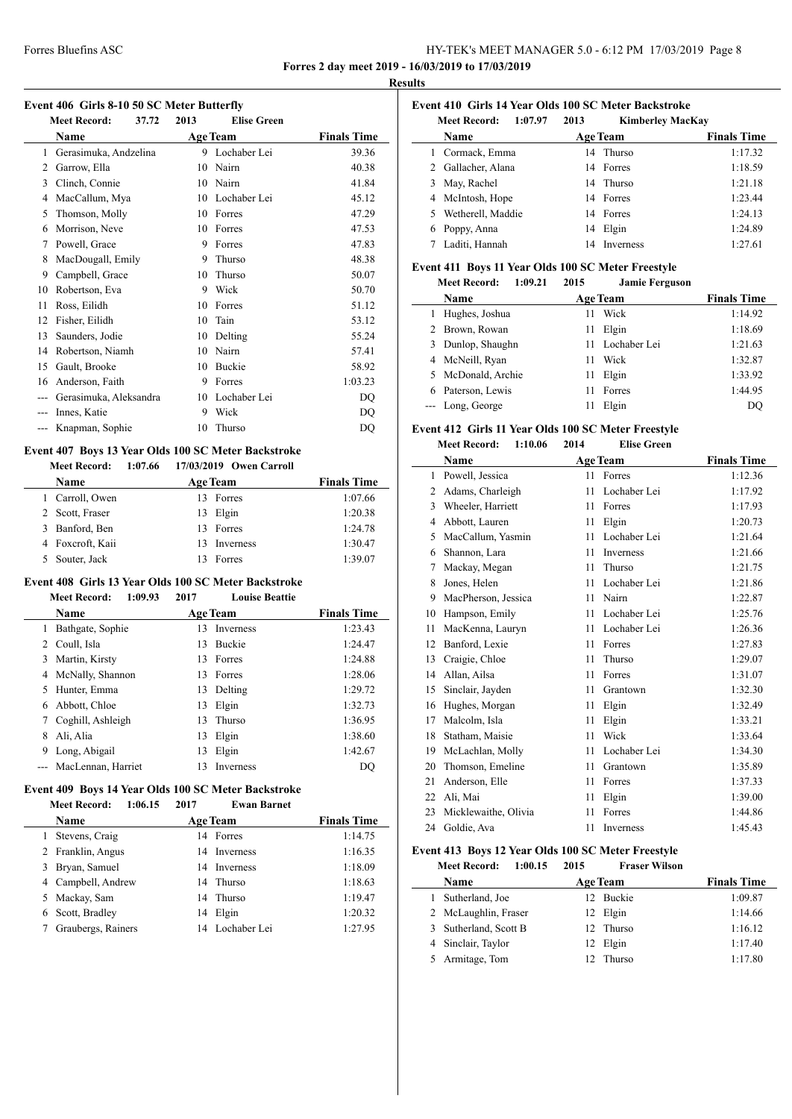### Forres Bluefins ASC HY-TEK's MEET MANAGER 5.0 - 6:12 PM 17/03/2019 Page 8 **Forres 2 day meet 2019 - 16/03/2019 to 17/03/2019**

**Results**

#### **Event 406 Girls 8-10 50 SC Meter Butterfly**

|    | <b>Meet Record:</b><br>37.72 | 2013 | <b>Elise Green</b> |                    |
|----|------------------------------|------|--------------------|--------------------|
|    | Name                         |      | <b>Age Team</b>    | <b>Finals Time</b> |
| 1  | Gerasimuka, Andzelina        | 9    | Lochaber Lei       | 39.36              |
| 2  | Garrow, Ella                 | 10   | Nairn              | 40.38              |
| 3  | Clinch, Connie               | 10   | Nairn              | 41.84              |
| 4  | MacCallum, Mya               | 10   | Lochaber Lei       | 45.12              |
| 5  | Thomson, Molly               | 10   | Forres             | 47.29              |
| 6  | Morrison, Neve               | 10   | Forres             | 47.53              |
| 7  | Powell, Grace                | 9    | Forres             | 47.83              |
| 8  | MacDougall, Emily            | 9    | Thurso             | 48.38              |
| 9  | Campbell, Grace              | 10   | Thurso             | 50.07              |
| 10 | Robertson, Eva               | 9    | Wick               | 50.70              |
| 11 | Ross, Eilidh                 | 10   | Forres             | 51.12              |
| 12 | Fisher, Eilidh               | 10   | Tain               | 53.12              |
| 13 | Saunders, Jodie              | 10   | Delting            | 55.24              |
| 14 | Robertson, Niamh             | 10   | Nairn              | 57.41              |
| 15 | Gault, Brooke                | 10   | Buckie             | 58.92              |
| 16 | Anderson, Faith              | 9    | Forres             | 1:03.23            |
|    | Gerasimuka, Aleksandra       | 10   | Lochaber Lei       | <b>DQ</b>          |
|    | Innes, Katie                 | 9    | Wick               | DQ                 |
|    | Knapman, Sophie              | 10   | Thurso             | DQ                 |
|    |                              |      |                    |                    |

### **Event 407 Boys 13 Year Olds 100 SC Meter Backstroke**

| <b>Meet Record:</b> |     | 1:07.66 17/03/2019 Owen Carroll |                    |
|---------------------|-----|---------------------------------|--------------------|
| Name                |     | <b>Age Team</b>                 | <b>Finals Time</b> |
| 1 Carroll, Owen     | 13. | Forres                          | 1:07.66            |
| 2 Scott, Fraser     |     | 13 Elgin                        | 1:20.38            |
| 3 Banford, Ben      |     | 13 Forres                       | 1:24.78            |
| 4 Foxcroft, Kaii    | 13  | Inverness                       | 1:30.47            |
| Souter, Jack        |     | Forres                          | 1:39.07            |

# **Event 408 Girls 13 Year Olds 100 SC Meter Backstroke**

**Meet Record: 1:09.93 2017 Louise Beattie**

|    | Name                   |    | <b>Age Team</b>  | <b>Finals Time</b> |
|----|------------------------|----|------------------|--------------------|
|    | Bathgate, Sophie       | 13 | <b>Inverness</b> | 1:23.43            |
| 2  | Coull, Isla            | 13 | <b>Buckie</b>    | 1:24.47            |
| 3  | Martin, Kirsty         |    | 13 Forres        | 1:24.88            |
|    | 4 McNally, Shannon     | 13 | Forres           | 1:28.06            |
| 5. | Hunter, Emma           | 13 | Delting          | 1:29.72            |
| 6  | Abbott, Chloe          | 13 | Elgin            | 1:32.73            |
|    | Coghill, Ashleigh      | 13 | Thurso           | 1:36.95            |
|    | Ali, Alia              | 13 | Elgin            | 1:38.60            |
|    | Long, Abigail          | 13 | Elgin            | 1:42.67            |
|    | --- MacLennan, Harriet | 13 | <b>Inverness</b> | DO                 |

### **Event 409 Boys 14 Year Olds 100 SC Meter Backstroke**

**Meet Record: 1:06.15 2017 Ewan Barnet**

 $\overline{\phantom{a}}$ 

| <b>Name</b>        | <b>Age Team</b> |                 | <b>Finals Time</b> |
|--------------------|-----------------|-----------------|--------------------|
| Stevens, Craig     |                 | 14 Forres       | 1:14.75            |
| 2 Franklin, Angus  |                 | 14 Inverness    | 1:16.35            |
| 3 Bryan, Samuel    |                 | 14 Inverness    | 1:18.09            |
| 4 Campbell, Andrew |                 | 14 Thurso       | 1:18.63            |
| 5 Mackay, Sam      |                 | 14 Thurso       | 1:19.47            |
| Scott, Bradley     |                 | 14 Elgin        | 1:20.32            |
| Graubergs, Rainers |                 | 14 Lochaber Lei | 1:27.95            |

# **Event 410 Girls 14 Year Olds 100 SC Meter Backstroke**

|   | <b>Meet Record:</b><br>1:07.97 | 2013 | <b>Kimberley MacKay</b> |                    |
|---|--------------------------------|------|-------------------------|--------------------|
|   | Name                           |      | <b>Age Team</b>         | <b>Finals Time</b> |
|   | 1 Cormack, Emma                |      | 14 Thurso               | 1:17.32            |
|   | 2 Gallacher, Alana             |      | 14 Forres               | 1:18.59            |
|   | 3 May, Rachel                  |      | 14 Thurso               | 1:21.18            |
|   | 4 McIntosh, Hope               |      | 14 Forres               | 1:23.44            |
|   | 5 Wetherell, Maddie            |      | 14 Forres               | 1:24.13            |
| 6 | Poppy, Anna                    |      | 14 Elgin                | 1:24.89            |
|   | Laditi, Hannah                 | 14   | <b>Inverness</b>        | 1:27.61            |

### **Event 411 Boys 11 Year Olds 100 SC Meter Freestyle**

|   | 1:09.21<br><b>Meet Record:</b> | 2015 | <b>Jamie Ferguson</b> |                    |
|---|--------------------------------|------|-----------------------|--------------------|
|   | Name                           |      | Age Team              | <b>Finals Time</b> |
|   | Hughes, Joshua                 | 11   | Wick                  | 1:14.92            |
|   | 2 Brown, Rowan                 |      | 11 Elgin              | 1:18.69            |
| 3 | Dunlop, Shaughn                |      | 11 Lochaber Lei       | 1:21.63            |
|   | 4 McNeill, Ryan                | 11   | Wick                  | 1:32.87            |
|   | 5 McDonald, Archie             |      | 11 Elgin              | 1:33.92            |
|   | 6 Paterson, Lewis              | 11   | Forres                | 1:44.95            |
|   | --- Long, George               | 11   | Elgin                 | DO                 |

#### **Event 412 Girls 11 Year Olds 100 SC Meter Freestyle**

| Event 412 Girls 11 Year Olds 100 SC Meter Freestyle |                                |      |                    |                    |  |
|-----------------------------------------------------|--------------------------------|------|--------------------|--------------------|--|
|                                                     | 1:10.06<br><b>Meet Record:</b> | 2014 | <b>Elise Green</b> |                    |  |
|                                                     | Name                           |      | <b>Age Team</b>    | <b>Finals Time</b> |  |
| 1                                                   | Powell, Jessica                | 11   | Forres             | 1:12.36            |  |
| 2                                                   | Adams, Charleigh               | 11   | Lochaber Lei       | 1:17.92            |  |
| 3                                                   | Wheeler, Harriett              | 11   | Forres             | 1:17.93            |  |
| 4                                                   | Abbott, Lauren                 | 11   | Elgin              | 1:20.73            |  |
| 5                                                   | MacCallum, Yasmin              | 11   | Lochaber Lei       | 1:21.64            |  |
| 6                                                   | Shannon, Lara                  | 11   | Inverness          | 1:21.66            |  |
| 7                                                   | Mackay, Megan                  | 11   | Thurso             | 1:21.75            |  |
| 8                                                   | Jones, Helen                   | 11   | Lochaber Lei       | 1:21.86            |  |
| 9                                                   | MacPherson, Jessica            | 11   | Nairn              | 1:22.87            |  |
| 10                                                  | Hampson, Emily                 | 11   | Lochaber Lei       | 1:25.76            |  |
| 11                                                  | MacKenna, Lauryn               | 11   | Lochaber Lei       | 1:26.36            |  |
| 12                                                  | Banford, Lexie                 | 11   | Forres             | 1:27.83            |  |
| 13                                                  | Craigie, Chloe                 | 11   | Thurso             | 1:29.07            |  |
| 14                                                  | Allan, Ailsa                   | 11   | Forres             | 1:31.07            |  |
| 15                                                  | Sinclair, Jayden               | 11   | Grantown           | 1:32.30            |  |
| 16                                                  | Hughes, Morgan                 | 11   | Elgin              | 1:32.49            |  |
| 17                                                  | Malcolm, Isla                  | 11   | Elgin              | 1:33.21            |  |
| 18                                                  | Statham, Maisie                | 11   | Wick               | 1:33.64            |  |
| 19                                                  | McLachlan, Molly               | 11   | Lochaber Lei       | 1:34.30            |  |
| 20                                                  | Thomson, Emeline               | 11   | Grantown           | 1:35.89            |  |
| 21                                                  | Anderson, Elle                 | 11   | Forres             | 1:37.33            |  |
| 22                                                  | Ali, Mai                       | 11   | Elgin              | 1:39.00            |  |
| 23                                                  | Micklewaithe, Olivia           | 11   | Forres             | 1:44.86            |  |
| 24                                                  | Goldie. Ava                    | 11   | Inverness          | 1:45.43            |  |

### **Event 413 Boys 12 Year Olds 100 SC Meter Freestyle**

| <b>Meet Record:</b><br>1:00.15 | 2015 | <b>Fraser Wilson</b> |                    |
|--------------------------------|------|----------------------|--------------------|
| <b>Name</b>                    |      | <b>Age Team</b>      | <b>Finals Time</b> |
| Sutherland, Joe                |      | 12 Buckie            | 1:09.87            |
| 2 McLaughlin, Fraser           |      | 12 Elgin             | 1:14.66            |
| 3 Sutherland, Scott B          |      | 12 Thurso            | 1:16.12            |
| 4 Sinclair, Taylor             |      | 12 Elgin             | 1:17.40            |
| Armitage, Tom                  | 12.  | Thurso               | 1:17.80            |